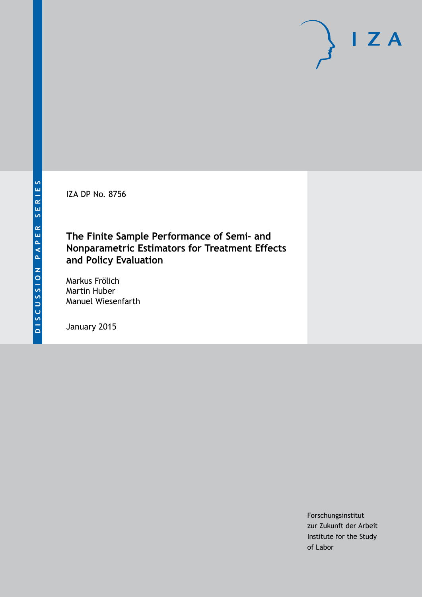IZA DP No. 8756

## **The Finite Sample Performance of Semi- and Nonparametric Estimators for Treatment Effects and Policy Evaluation**

Markus Frölich Martin Huber Manuel Wiesenfarth

January 2015

Forschungsinstitut zur Zukunft der Arbeit Institute for the Study of Labor

 $I Z A$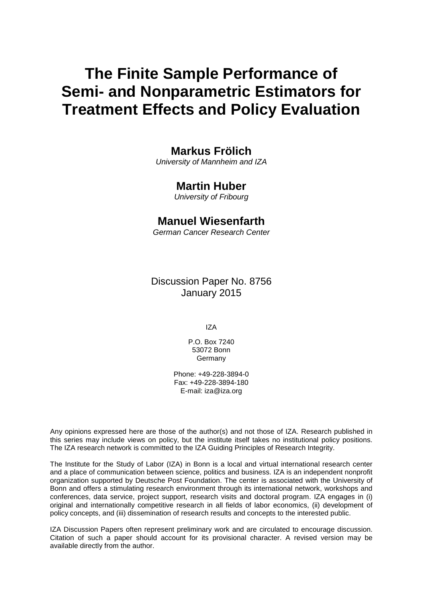# **The Finite Sample Performance of Semi- and Nonparametric Estimators for Treatment Effects and Policy Evaluation**

## **Markus Frölich**

*University of Mannheim and IZA*

## **Martin Huber**

*University of Fribourg*

## **Manuel Wiesenfarth**

*German Cancer Research Center*

Discussion Paper No. 8756 January 2015

IZA

P.O. Box 7240 53072 Bonn Germany

Phone: +49-228-3894-0 Fax: +49-228-3894-180 E-mail: [iza@iza.org](mailto:iza@iza.org)

Any opinions expressed here are those of the author(s) and not those of IZA. Research published in this series may include views on policy, but the institute itself takes no institutional policy positions. The IZA research network is committed to the IZA Guiding Principles of Research Integrity.

The Institute for the Study of Labor (IZA) in Bonn is a local and virtual international research center and a place of communication between science, politics and business. IZA is an independent nonprofit organization supported by Deutsche Post Foundation. The center is associated with the University of Bonn and offers a stimulating research environment through its international network, workshops and conferences, data service, project support, research visits and doctoral program. IZA engages in (i) original and internationally competitive research in all fields of labor economics, (ii) development of policy concepts, and (iii) dissemination of research results and concepts to the interested public.

<span id="page-1-0"></span>IZA Discussion Papers often represent preliminary work and are circulated to encourage discussion. Citation of such a paper should account for its provisional character. A revised version may be available directly from the author.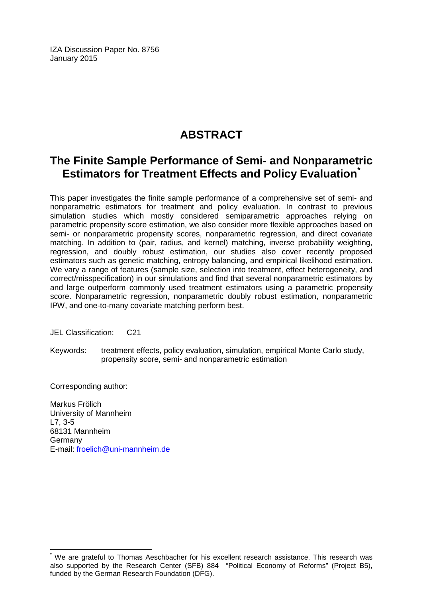IZA Discussion Paper No. 8756 January 2015

## **ABSTRACT**

## **The Finite Sample Performance of Semi- and Nonparametric Estimators for Treatment Effects and Policy Evaluation[\\*](#page-1-0)**

This paper investigates the finite sample performance of a comprehensive set of semi- and nonparametric estimators for treatment and policy evaluation. In contrast to previous simulation studies which mostly considered semiparametric approaches relying on parametric propensity score estimation, we also consider more flexible approaches based on semi- or nonparametric propensity scores, nonparametric regression, and direct covariate matching. In addition to (pair, radius, and kernel) matching, inverse probability weighting, regression, and doubly robust estimation, our studies also cover recently proposed estimators such as genetic matching, entropy balancing, and empirical likelihood estimation. We vary a range of features (sample size, selection into treatment, effect heterogeneity, and correct/misspecification) in our simulations and find that several nonparametric estimators by and large outperform commonly used treatment estimators using a parametric propensity score. Nonparametric regression, nonparametric doubly robust estimation, nonparametric IPW, and one-to-many covariate matching perform best.

JEL Classification: C21

Keywords: treatment effects, policy evaluation, simulation, empirical Monte Carlo study, propensity score, semi- and nonparametric estimation

Corresponding author:

Markus Frölich University of Mannheim L7, 3-5 68131 Mannheim Germany E-mail: [froelich@uni-mannheim.de](mailto:froelich@uni-mannheim.de)

We are grateful to Thomas Aeschbacher for his excellent research assistance. This research was also supported by the Research Center (SFB) 884 "Political Economy of Reforms" (Project B5), funded by the German Research Foundation (DFG).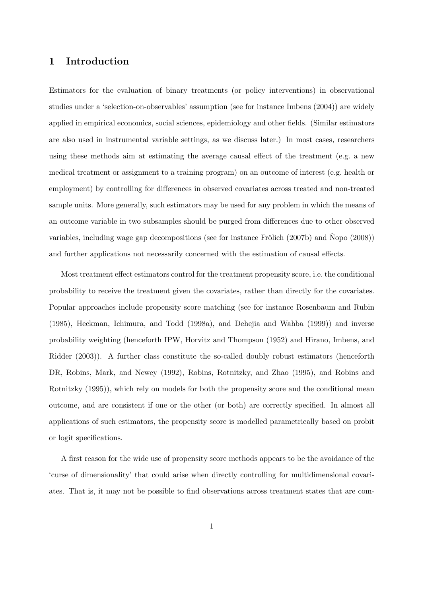## 1 Introduction

Estimators for the evaluation of binary treatments (or policy interventions) in observational studies under a 'selection-on-observables' assumption (see for instance Imbens (2004)) are widely applied in empirical economics, social sciences, epidemiology and other fields. (Similar estimators are also used in instrumental variable settings, as we discuss later.) In most cases, researchers using these methods aim at estimating the average causal effect of the treatment (e.g. a new medical treatment or assignment to a training program) on an outcome of interest (e.g. health or employment) by controlling for differences in observed covariates across treated and non-treated sample units. More generally, such estimators may be used for any problem in which the means of an outcome variable in two subsamples should be purged from differences due to other observed variables, including wage gap decompositions (see for instance Frölich  $(2007b)$ ) and Nopo  $(2008)$ ) and further applications not necessarily concerned with the estimation of causal effects.

Most treatment effect estimators control for the treatment propensity score, i.e. the conditional probability to receive the treatment given the covariates, rather than directly for the covariates. Popular approaches include propensity score matching (see for instance Rosenbaum and Rubin (1985), Heckman, Ichimura, and Todd (1998a), and Dehejia and Wahba (1999)) and inverse probability weighting (henceforth IPW, Horvitz and Thompson (1952) and Hirano, Imbens, and Ridder (2003)). A further class constitute the so-called doubly robust estimators (henceforth DR, Robins, Mark, and Newey (1992), Robins, Rotnitzky, and Zhao (1995), and Robins and Rotnitzky (1995)), which rely on models for both the propensity score and the conditional mean outcome, and are consistent if one or the other (or both) are correctly specified. In almost all applications of such estimators, the propensity score is modelled parametrically based on probit or logit specifications.

A first reason for the wide use of propensity score methods appears to be the avoidance of the 'curse of dimensionality' that could arise when directly controlling for multidimensional covariates. That is, it may not be possible to find observations across treatment states that are com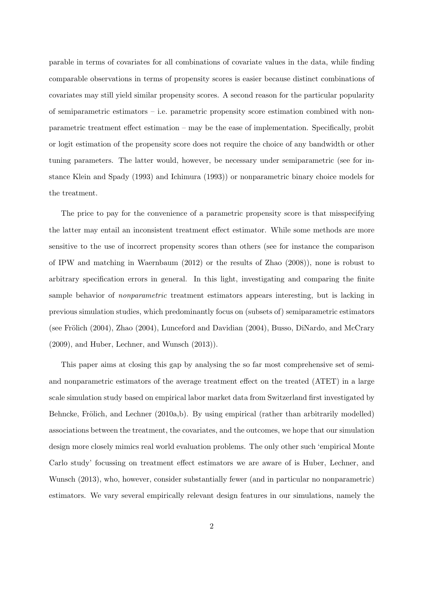parable in terms of covariates for all combinations of covariate values in the data, while finding comparable observations in terms of propensity scores is easier because distinct combinations of covariates may still yield similar propensity scores. A second reason for the particular popularity of semiparametric estimators – i.e. parametric propensity score estimation combined with nonparametric treatment effect estimation – may be the ease of implementation. Specifically, probit or logit estimation of the propensity score does not require the choice of any bandwidth or other tuning parameters. The latter would, however, be necessary under semiparametric (see for instance Klein and Spady (1993) and Ichimura (1993)) or nonparametric binary choice models for the treatment.

The price to pay for the convenience of a parametric propensity score is that misspecifying the latter may entail an inconsistent treatment effect estimator. While some methods are more sensitive to the use of incorrect propensity scores than others (see for instance the comparison of IPW and matching in Waernbaum (2012) or the results of Zhao (2008)), none is robust to arbitrary specification errors in general. In this light, investigating and comparing the finite sample behavior of *nonparametric* treatment estimators appears interesting, but is lacking in previous simulation studies, which predominantly focus on (subsets of) semiparametric estimators (see Frölich (2004), Zhao (2004), Lunceford and Davidian (2004), Busso, DiNardo, and McCrary (2009), and Huber, Lechner, and Wunsch (2013)).

This paper aims at closing this gap by analysing the so far most comprehensive set of semiand nonparametric estimators of the average treatment effect on the treated (ATET) in a large scale simulation study based on empirical labor market data from Switzerland first investigated by Behncke, Frölich, and Lechner  $(2010a,b)$ . By using empirical (rather than arbitrarily modelled) associations between the treatment, the covariates, and the outcomes, we hope that our simulation design more closely mimics real world evaluation problems. The only other such 'empirical Monte Carlo study' focussing on treatment effect estimators we are aware of is Huber, Lechner, and Wunsch (2013), who, however, consider substantially fewer (and in particular no nonparametric) estimators. We vary several empirically relevant design features in our simulations, namely the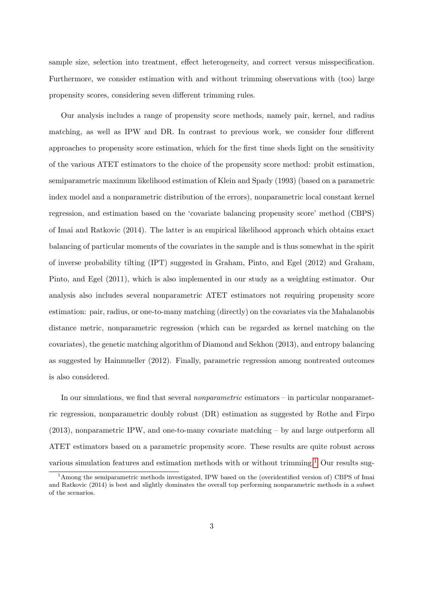sample size, selection into treatment, effect heterogeneity, and correct versus misspecification. Furthermore, we consider estimation with and without trimming observations with (too) large propensity scores, considering seven different trimming rules.

Our analysis includes a range of propensity score methods, namely pair, kernel, and radius matching, as well as IPW and DR. In contrast to previous work, we consider four different approaches to propensity score estimation, which for the first time sheds light on the sensitivity of the various ATET estimators to the choice of the propensity score method: probit estimation, semiparametric maximum likelihood estimation of Klein and Spady (1993) (based on a parametric index model and a nonparametric distribution of the errors), nonparametric local constant kernel regression, and estimation based on the 'covariate balancing propensity score' method (CBPS) of Imai and Ratkovic (2014). The latter is an empirical likelihood approach which obtains exact balancing of particular moments of the covariates in the sample and is thus somewhat in the spirit of inverse probability tilting (IPT) suggested in Graham, Pinto, and Egel (2012) and Graham, Pinto, and Egel (2011), which is also implemented in our study as a weighting estimator. Our analysis also includes several nonparametric ATET estimators not requiring propensity score estimation: pair, radius, or one-to-many matching (directly) on the covariates via the Mahalanobis distance metric, nonparametric regression (which can be regarded as kernel matching on the covariates), the genetic matching algorithm of Diamond and Sekhon (2013), and entropy balancing as suggested by Hainmueller (2012). Finally, parametric regression among nontreated outcomes is also considered.

In our simulations, we find that several *nonparametric* estimators – in particular nonparametric regression, nonparametric doubly robust (DR) estimation as suggested by Rothe and Firpo (2013), nonparametric IPW, and one-to-many covariate matching – by and large outperform all ATET estimators based on a parametric propensity score. These results are quite robust across various simulation features and estimation methods with or without trimming.<sup>[1](#page--1-0)</sup> Our results sug-

<sup>&</sup>lt;sup>1</sup>Among the semiparametric methods investigated, IPW based on the (overidentified version of) CBPS of Imai and Ratkovic (2014) is best and slightly dominates the overall top performing nonparametric methods in a subset of the scenarios.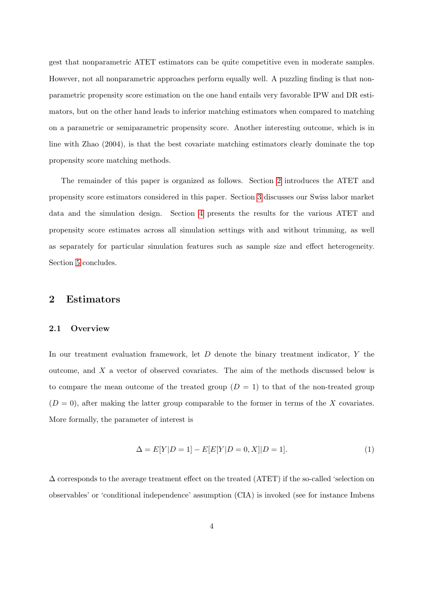gest that nonparametric ATET estimators can be quite competitive even in moderate samples. However, not all nonparametric approaches perform equally well. A puzzling finding is that nonparametric propensity score estimation on the one hand entails very favorable IPW and DR estimators, but on the other hand leads to inferior matching estimators when compared to matching on a parametric or semiparametric propensity score. Another interesting outcome, which is in line with Zhao (2004), is that the best covariate matching estimators clearly dominate the top propensity score matching methods.

The remainder of this paper is organized as follows. Section [2](#page-6-0) introduces the ATET and propensity score estimators considered in this paper. Section [3](#page-25-0) discusses our Swiss labor market data and the simulation design. Section [4](#page-34-0) presents the results for the various ATET and propensity score estimates across all simulation settings with and without trimming, as well as separately for particular simulation features such as sample size and effect heterogeneity. Section [5](#page-47-0) concludes.

## <span id="page-6-0"></span>2 Estimators

#### 2.1 Overview

In our treatment evaluation framework, let  $D$  denote the binary treatment indicator,  $Y$  the outcome, and X a vector of observed covariates. The aim of the methods discussed below is to compare the mean outcome of the treated group  $(D = 1)$  to that of the non-treated group  $(D = 0)$ , after making the latter group comparable to the former in terms of the X covariates. More formally, the parameter of interest is

<span id="page-6-1"></span>
$$
\Delta = E[Y|D=1] - E[E[Y|D=0, X]|D=1].
$$
\n(1)

∆ corresponds to the average treatment effect on the treated (ATET) if the so-called 'selection on observables' or 'conditional independence' assumption (CIA) is invoked (see for instance Imbens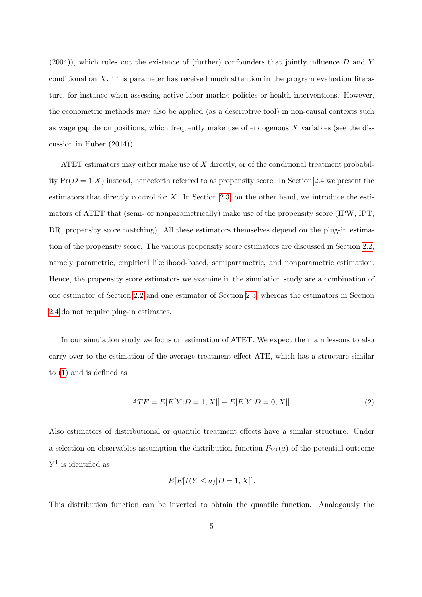$(2004)$ , which rules out the existence of (further) confounders that jointly influence D and Y conditional on X. This parameter has received much attention in the program evaluation literature, for instance when assessing active labor market policies or health interventions. However, the econometric methods may also be applied (as a descriptive tool) in non-causal contexts such as wage gap decompositions, which frequently make use of endogenous  $X$  variables (see the discussion in Huber (2014)).

ATET estimators may either make use of X directly, or of the conditional treatment probability  $Pr(D = 1|X)$  instead, henceforth referred to as propensity score. In Section [2.4](#page-21-0) we present the estimators that directly control for  $X$ . In Section [2.3,](#page-13-0) on the other hand, we introduce the estimators of ATET that (semi- or nonparametrically) make use of the propensity score (IPW, IPT, DR, propensity score matching). All these estimators themselves depend on the plug-in estimation of the propensity score. The various propensity score estimators are discussed in Section [2.2,](#page-8-0) namely parametric, empirical likelihood-based, semiparametric, and nonparametric estimation. Hence, the propensity score estimators we examine in the simulation study are a combination of one estimator of Section [2.2](#page-8-0) and one estimator of Section [2.3,](#page-13-0) whereas the estimators in Section [2.4](#page-21-0) do not require plug-in estimates.

In our simulation study we focus on estimation of ATET. We expect the main lessons to also carry over to the estimation of the average treatment effect ATE, which has a structure similar to [\(1\)](#page-6-1) and is defined as

<span id="page-7-0"></span>
$$
ATE = E[E[Y|D = 1, X]] - E[E[Y|D = 0, X]].
$$
\n(2)

Also estimators of distributional or quantile treatment effects have a similar structure. Under a selection on observables assumption the distribution function  $F_{Y^1}(a)$  of the potential outcome  $Y^1$  is identified as

$$
E[E[I(Y \le a) | D = 1, X]].
$$

This distribution function can be inverted to obtain the quantile function. Analogously the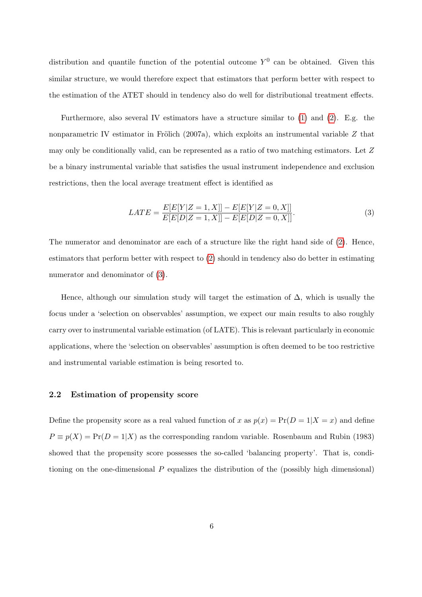distribution and quantile function of the potential outcome  $Y^0$  can be obtained. Given this similar structure, we would therefore expect that estimators that perform better with respect to the estimation of the ATET should in tendency also do well for distributional treatment effects.

Furthermore, also several IV estimators have a structure similar to [\(1\)](#page-6-1) and [\(2\)](#page-7-0). E.g. the nonparametric IV estimator in Frölich (2007a), which exploits an instrumental variable  $Z$  that may only be conditionally valid, can be represented as a ratio of two matching estimators. Let Z be a binary instrumental variable that satisfies the usual instrument independence and exclusion restrictions, then the local average treatment effect is identified as

<span id="page-8-1"></span>
$$
LATE = \frac{E[E[Y|Z=1,X]] - E[E[Y|Z=0,X]]}{E[E[D|Z=1,X]] - E[E[D|Z=0,X]]}.
$$
\n(3)

The numerator and denominator are each of a structure like the right hand side of [\(2\)](#page-7-0). Hence, estimators that perform better with respect to [\(2\)](#page-7-0) should in tendency also do better in estimating numerator and denominator of  $(3)$ .

Hence, although our simulation study will target the estimation of  $\Delta$ , which is usually the focus under a 'selection on observables' assumption, we expect our main results to also roughly carry over to instrumental variable estimation (of LATE). This is relevant particularly in economic applications, where the 'selection on observables' assumption is often deemed to be too restrictive and instrumental variable estimation is being resorted to.

### <span id="page-8-0"></span>2.2 Estimation of propensity score

Define the propensity score as a real valued function of x as  $p(x) = Pr(D = 1|X = x)$  and define  $P \equiv p(X) = Pr(D = 1|X)$  as the corresponding random variable. Rosenbaum and Rubin (1983) showed that the propensity score possesses the so-called 'balancing property'. That is, conditioning on the one-dimensional  $P$  equalizes the distribution of the (possibly high dimensional)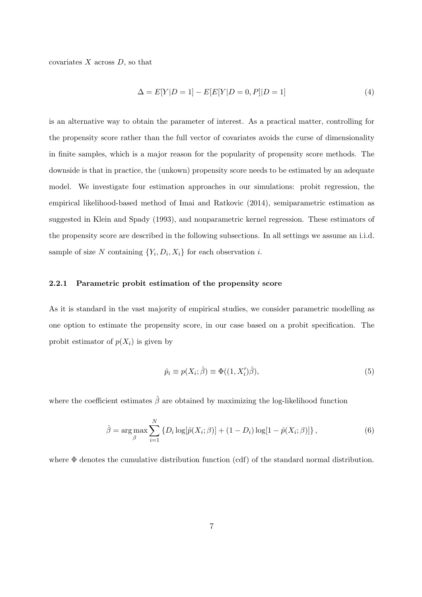covariates  $X$  across  $D$ , so that

$$
\Delta = E[Y|D=1] - E[E[Y|D=0, P]|D=1]
$$
\n(4)

is an alternative way to obtain the parameter of interest. As a practical matter, controlling for the propensity score rather than the full vector of covariates avoids the curse of dimensionality in finite samples, which is a major reason for the popularity of propensity score methods. The downside is that in practice, the (unkown) propensity score needs to be estimated by an adequate model. We investigate four estimation approaches in our simulations: probit regression, the empirical likelihood-based method of Imai and Ratkovic (2014), semiparametric estimation as suggested in Klein and Spady (1993), and nonparametric kernel regression. These estimators of the propensity score are described in the following subsections. In all settings we assume an i.i.d. sample of size N containing  $\{Y_i, D_i, X_i\}$  for each observation *i*.

#### 2.2.1 Parametric probit estimation of the propensity score

As it is standard in the vast majority of empirical studies, we consider parametric modelling as one option to estimate the propensity score, in our case based on a probit specification. The probit estimator of  $p(X_i)$  is given by

$$
\hat{p}_i \equiv p(X_i; \hat{\beta}) \equiv \Phi((1, X_i')\hat{\beta}),\tag{5}
$$

where the coefficient estimates  $\hat{\beta}$  are obtained by maximizing the log-likelihood function

$$
\hat{\beta} = \arg \max_{\beta} \sum_{i=1}^{N} \{ D_i \log[\hat{p}(X_i; \beta)] + (1 - D_i) \log[1 - \hat{p}(X_i; \beta)] \},
$$
\n(6)

where Φ denotes the cumulative distribution function (cdf) of the standard normal distribution.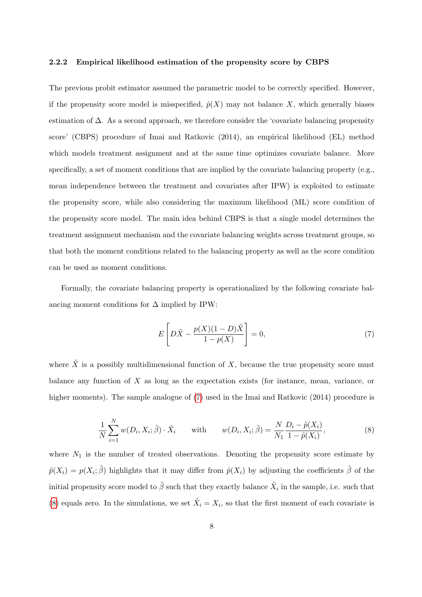#### <span id="page-10-2"></span>2.2.2 Empirical likelihood estimation of the propensity score by CBPS

The previous probit estimator assumed the parametric model to be correctly specified. However, if the propensity score model is misspecified,  $\hat{p}(X)$  may not balance X, which generally biases estimation of  $\Delta$ . As a second approach, we therefore consider the 'covariate balancing propensity score' (CBPS) procedure of Imai and Ratkovic (2014), an empirical likelihood (EL) method which models treatment assignment and at the same time optimizes covariate balance. More specifically, a set of moment conditions that are implied by the covariate balancing property (e.g., mean independence between the treatment and covariates after IPW) is exploited to estimate the propensity score, while also considering the maximum likelihood (ML) score condition of the propensity score model. The main idea behind CBPS is that a single model determines the treatment assignment mechanism and the covariate balancing weights across treatment groups, so that both the moment conditions related to the balancing property as well as the score condition can be used as moment conditions.

Formally, the covariate balancing property is operationalized by the following covariate balancing moment conditions for  $\Delta$  implied by IPW:

<span id="page-10-0"></span>
$$
E\left[D\tilde{X} - \frac{p(X)(1-D)\tilde{X}}{1-p(X)}\right] = 0,\tag{7}
$$

<span id="page-10-1"></span>where  $\tilde{X}$  is a possibly multidimensional function of X, because the true propensity score must balance any function of X as long as the expectation exists (for instance, mean, variance, or higher moments). The sample analogue of [\(7\)](#page-10-0) used in the Imai and Ratkovic (2014) procedure is

$$
\frac{1}{N} \sum_{i=1}^{N} w(D_i, X_i; \tilde{\beta}) \cdot \tilde{X}_i \quad \text{with} \quad w(D_i, X_i; \tilde{\beta}) = \frac{N}{N_1} \frac{D_i - \tilde{p}(X_i)}{1 - \tilde{p}(X_i)},
$$
\n(8)

where  $N_1$  is the number of treated observations. Denoting the propensity score estimate by  $\tilde{p}(X_i) = p(X_i; \tilde{\beta})$  highlights that it may differ from  $\hat{p}(X_i)$  by adjusting the coefficients  $\hat{\beta}$  of the initial propensity score model to  $\tilde{\beta}$  such that they exactly balance  $\tilde{X}_i$  in the sample, i.e. such that [\(8\)](#page-10-1) equals zero. In the simulations, we set  $\tilde{X}_i = X_i$ , so that the first moment of each covariate is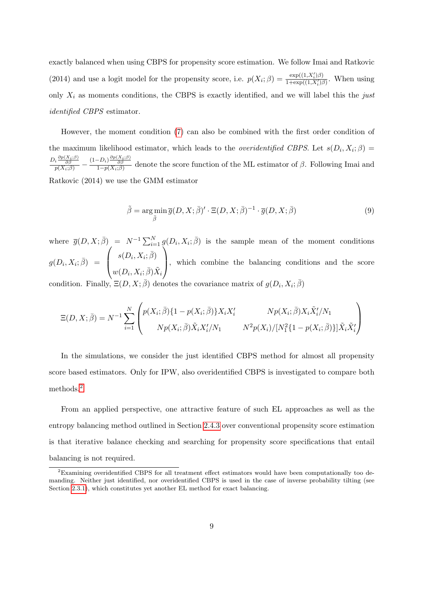exactly balanced when using CBPS for propensity score estimation. We follow Imai and Ratkovic (2014) and use a logit model for the propensity score, i.e.  $p(X_i; \beta) = \frac{\exp((1, X_i')\beta)}{1 + \exp((1, X_i')\beta)}$  $\frac{\exp((1, X_i)\beta)}{1+\exp((1, X_i')\beta)}$ . When using only  $X_i$  as moments conditions, the CBPS is exactly identified, and we will label this the just identified CBPS estimator.

However, the moment condition [\(7\)](#page-10-0) can also be combined with the first order condition of the maximum likelihood estimator, which leads to the *overidentified CBPS*. Let  $s(D_i, X_i; \beta) =$  $\frac{D_i \frac{\partial p(X_i;\beta)}{\partial \beta}}{p(X_i;\beta)} - \frac{(1-D_i) \frac{\partial p(X_i;\beta)}{\partial \beta}}{1-p(X_i;\beta)}$  denote the score function of the ML estimator of  $\beta$ . Following Imai and Ratkovic (2014) we use the GMM estimator

$$
\tilde{\beta} = \arg\min_{\bar{\beta}} \bar{g}(D, X; \bar{\beta})' \cdot \Xi(D, X; \bar{\beta})^{-1} \cdot \bar{g}(D, X; \bar{\beta})
$$
\n(9)

where  $\bar{g}(D, X; \bar{\beta}) = N^{-1} \sum_{i=1}^{N} g(D_i, X_i; \bar{\beta})$  is the sample mean of the moment conditions  $g(D_i, X_i; \overline{\beta}) =$  $\sqrt{ }$  $\overline{ }$  $s(D_i, X_i; \overline{\beta})$  $w(D_i,X_i;\bar{\beta})\tilde{X}_i$  $\setminus$ , which combine the balancing conditions and the score

condition. Finally,  $\Xi(D, X; \bar{\beta})$  denotes the covariance matrix of  $g(D_i, X_i; \bar{\beta})$ 

$$
\Xi(D, X; \bar{\beta}) = N^{-1} \sum_{i=1}^{N} \begin{pmatrix} p(X_i; \bar{\beta}) \{1 - p(X_i; \bar{\beta})\} X_i X_i' & N p(X_i; \bar{\beta}) X_i \tilde{X}_i'/N_1 \\ N p(X_i; \bar{\beta}) \tilde{X}_i X_i'/N_1 & N^2 p(X_i) / [N_1^2 \{1 - p(X_i; \bar{\beta})\}] \tilde{X}_i \tilde{X}_i' \end{pmatrix}
$$

In the simulations, we consider the just identified CBPS method for almost all propensity score based estimators. Only for IPW, also overidentified CBPS is investigated to compare both methods.[2](#page--1-0)

From an applied perspective, one attractive feature of such EL approaches as well as the entropy balancing method outlined in Section [2.4.3](#page-24-0) over conventional propensity score estimation is that iterative balance checking and searching for propensity score specifications that entail balancing is not required.

<sup>2</sup>Examining overidentified CBPS for all treatment effect estimators would have been computationally too demanding. Neither just identified, nor overidentified CBPS is used in the case of inverse probability tilting (see Section [2.3.1\)](#page-13-1), which constitutes yet another EL method for exact balancing.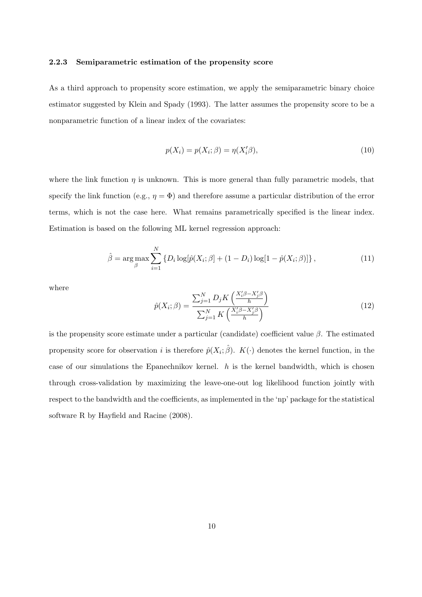#### 2.2.3 Semiparametric estimation of the propensity score

As a third approach to propensity score estimation, we apply the semiparametric binary choice estimator suggested by Klein and Spady (1993). The latter assumes the propensity score to be a nonparametric function of a linear index of the covariates:

$$
p(X_i) = p(X_i; \beta) = \eta(X_i'\beta),\tag{10}
$$

where the link function  $\eta$  is unknown. This is more general than fully parametric models, that specify the link function (e.g.,  $\eta = \Phi$ ) and therefore assume a particular distribution of the error terms, which is not the case here. What remains parametrically specified is the linear index. Estimation is based on the following ML kernel regression approach:

$$
\hat{\beta} = \arg \max_{\beta} \sum_{i=1}^{N} \{ D_i \log[\hat{p}(X_i; \beta] + (1 - D_i) \log[1 - \hat{p}(X_i; \beta)] \},
$$
\n(11)

where

$$
\hat{p}(X_i; \beta) = \frac{\sum_{j=1}^{N} D_j K\left(\frac{X_i^{\prime} \beta - X_j^{\prime} \beta}{h}\right)}{\sum_{j=1}^{N} K\left(\frac{X_i^{\prime} \beta - X_j^{\prime} \beta}{h}\right)}
$$
\n(12)

is the propensity score estimate under a particular (candidate) coefficient value  $\beta$ . The estimated propensity score for observation i is therefore  $\hat{p}(X_i; \hat{\beta})$ .  $K(\cdot)$  denotes the kernel function, in the case of our simulations the Epanechnikov kernel.  $h$  is the kernel bandwidth, which is chosen through cross-validation by maximizing the leave-one-out log likelihood function jointly with respect to the bandwidth and the coefficients, as implemented in the 'np' package for the statistical software R by Hayfield and Racine (2008).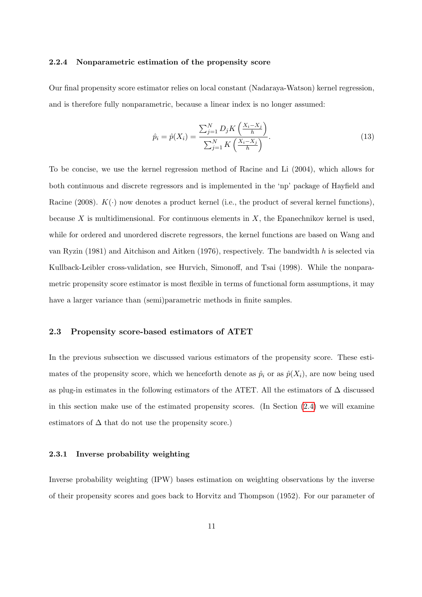#### <span id="page-13-2"></span>2.2.4 Nonparametric estimation of the propensity score

Our final propensity score estimator relies on local constant (Nadaraya-Watson) kernel regression, and is therefore fully nonparametric, because a linear index is no longer assumed:

$$
\hat{p}_i = \hat{p}(X_i) = \frac{\sum_{j=1}^{N} D_j K\left(\frac{X_i - X_j}{h}\right)}{\sum_{j=1}^{N} K\left(\frac{X_i - X_j}{h}\right)}.
$$
\n(13)

To be concise, we use the kernel regression method of Racine and Li (2004), which allows for both continuous and discrete regressors and is implemented in the 'np' package of Hayfield and Racine (2008).  $K(\cdot)$  now denotes a product kernel (i.e., the product of several kernel functions), because X is multidimensional. For continuous elements in  $X$ , the Epanechnikov kernel is used, while for ordered and unordered discrete regressors, the kernel functions are based on Wang and van Ryzin (1981) and Aitchison and Aitken (1976), respectively. The bandwidth h is selected via Kullback-Leibler cross-validation, see Hurvich, Simonoff, and Tsai (1998). While the nonparametric propensity score estimator is most flexible in terms of functional form assumptions, it may have a larger variance than (semi)parametric methods in finite samples.

#### <span id="page-13-0"></span>2.3 Propensity score-based estimators of ATET

In the previous subsection we discussed various estimators of the propensity score. These estimates of the propensity score, which we henceforth denote as  $\hat{p}_i$  or as  $\hat{p}(X_i)$ , are now being used as plug-in estimates in the following estimators of the ATET. All the estimators of  $\Delta$  discussed in this section make use of the estimated propensity scores. (In Section [\(2.4\)](#page-21-0) we will examine estimators of  $\Delta$  that do not use the propensity score.)

#### <span id="page-13-1"></span>2.3.1 Inverse probability weighting

Inverse probability weighting (IPW) bases estimation on weighting observations by the inverse of their propensity scores and goes back to Horvitz and Thompson (1952). For our parameter of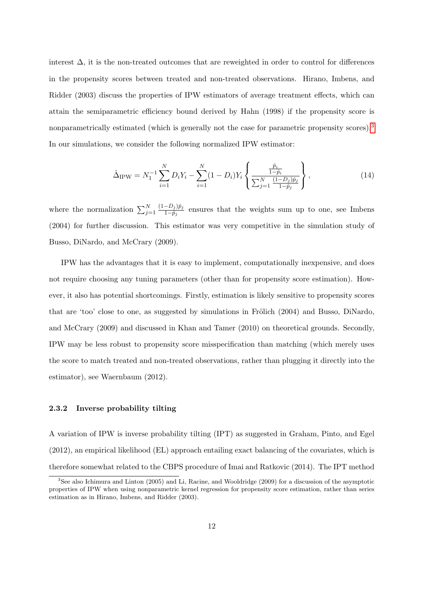interest  $\Delta$ , it is the non-treated outcomes that are reweighted in order to control for differences in the propensity scores between treated and non-treated observations. Hirano, Imbens, and Ridder (2003) discuss the properties of IPW estimators of average treatment effects, which can attain the semiparametric efficiency bound derived by Hahn (1998) if the propensity score is nonparametrically estimated (which is generally not the case for parametric propensity scores).<sup>[3](#page--1-0)</sup> In our simulations, we consider the following normalized IPW estimator:

$$
\hat{\Delta}_{IPW} = N_1^{-1} \sum_{i=1}^{N} D_i Y_i - \sum_{i=1}^{N} (1 - D_i) Y_i \left\{ \frac{\frac{\hat{p}_i}{1 - \hat{p}_i}}{\sum_{j=1}^{N} \frac{(1 - D_j)\hat{p}_j}{1 - \hat{p}_j}} \right\},
$$
\n(14)

where the normalization  $\sum_{j=1}^{N}$  $(1-D_j)\hat{p}_j$  $\frac{-D_j|p_j|}{1-\hat{p}_j}$  ensures that the weights sum up to one, see Imbens (2004) for further discussion. This estimator was very competitive in the simulation study of Busso, DiNardo, and McCrary (2009).

IPW has the advantages that it is easy to implement, computationally inexpensive, and does not require choosing any tuning parameters (other than for propensity score estimation). However, it also has potential shortcomings. Firstly, estimation is likely sensitive to propensity scores that are 'too' close to one, as suggested by simulations in Frölich  $(2004)$  and Busso, DiNardo, and McCrary (2009) and discussed in Khan and Tamer (2010) on theoretical grounds. Secondly, IPW may be less robust to propensity score misspecification than matching (which merely uses the score to match treated and non-treated observations, rather than plugging it directly into the estimator), see Waernbaum (2012).

#### <span id="page-14-0"></span>2.3.2 Inverse probability tilting

A variation of IPW is inverse probability tilting (IPT) as suggested in Graham, Pinto, and Egel (2012), an empirical likelihood (EL) approach entailing exact balancing of the covariates, which is therefore somewhat related to the CBPS procedure of Imai and Ratkovic (2014). The IPT method

<sup>3</sup>See also Ichimura and Linton (2005) and Li, Racine, and Wooldridge (2009) for a discussion of the asymptotic properties of IPW when using nonparametric kernel regression for propensity score estimation, rather than series estimation as in Hirano, Imbens, and Ridder (2003).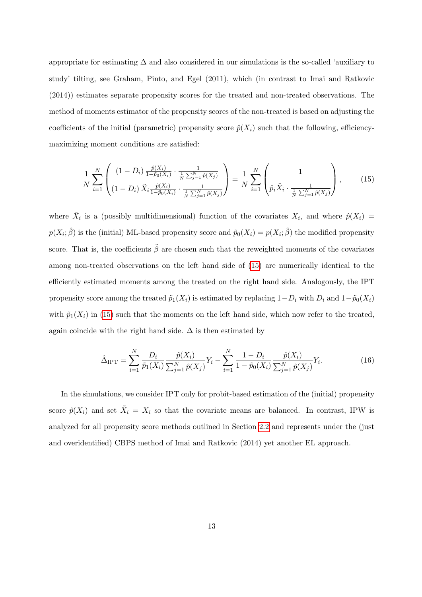appropriate for estimating  $\Delta$  and also considered in our simulations is the so-called 'auxiliary to study' tilting, see Graham, Pinto, and Egel (2011), which (in contrast to Imai and Ratkovic (2014)) estimates separate propensity scores for the treated and non-treated observations. The method of moments estimator of the propensity scores of the non-treated is based on adjusting the coefficients of the initial (parametric) propensity score  $\hat{p}(X_i)$  such that the following, efficiencymaximizing moment conditions are satisfied:

<span id="page-15-0"></span>
$$
\frac{1}{N} \sum_{i=1}^{N} \left( (1 - D_i) \frac{\hat{p}(X_i)}{1 - \tilde{p}_0(X_i)} \cdot \frac{1}{\frac{1}{N} \sum_{j=1}^{N} \hat{p}(X_j)} \right) = \frac{1}{N} \sum_{i=1}^{N} \left( 1 - \frac{1}{\hat{p}_i \tilde{X}_i \cdot \frac{1}{\frac{1}{N} \sum_{j=1}^{N} \hat{p}(X_j)}} \right),
$$
(15)

where  $\tilde{X}_i$  is a (possibly multidimensional) function of the covariates  $X_i$ , and where  $\hat{p}(X_i)$  $p(X_i; \hat{\beta})$  is the (initial) ML-based propensity score and  $\tilde{p}_0(X_i) = p(X_i; \tilde{\beta})$  the modified propensity score. That is, the coefficients  $\tilde{\beta}$  are chosen such that the reweighted moments of the covariates among non-treated observations on the left hand side of [\(15\)](#page-15-0) are numerically identical to the efficiently estimated moments among the treated on the right hand side. Analogously, the IPT propensity score among the treated  $\tilde{p}_1(X_i)$  is estimated by replacing  $1-D_i$  with  $D_i$  and  $1-\tilde{p}_0(X_i)$ with  $\tilde{p}_1(X_i)$  in [\(15\)](#page-15-0) such that the moments on the left hand side, which now refer to the treated, again coincide with the right hand side.  $\Delta$  is then estimated by

$$
\hat{\Delta}_{\text{IPT}} = \sum_{i=1}^{N} \frac{D_i}{\tilde{p}_1(X_i)} \frac{\hat{p}(X_i)}{\sum_{j=1}^{N} \hat{p}(X_j)} Y_i - \sum_{i=1}^{N} \frac{1 - D_i}{1 - \tilde{p}_0(X_i)} \frac{\hat{p}(X_i)}{\sum_{j=1}^{N} \hat{p}(X_j)} Y_i.
$$
\n(16)

In the simulations, we consider IPT only for probit-based estimation of the (initial) propensity score  $\hat{p}(X_i)$  and set  $\tilde{X}_i = X_i$  so that the covariate means are balanced. In contrast, IPW is analyzed for all propensity score methods outlined in Section [2.2](#page-8-0) and represents under the (just and overidentified) CBPS method of Imai and Ratkovic (2014) yet another EL approach.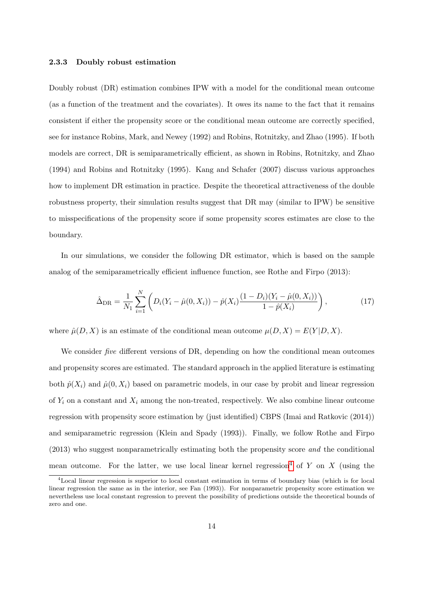#### 2.3.3 Doubly robust estimation

Doubly robust (DR) estimation combines IPW with a model for the conditional mean outcome (as a function of the treatment and the covariates). It owes its name to the fact that it remains consistent if either the propensity score or the conditional mean outcome are correctly specified, see for instance Robins, Mark, and Newey (1992) and Robins, Rotnitzky, and Zhao (1995). If both models are correct, DR is semiparametrically efficient, as shown in Robins, Rotnitzky, and Zhao (1994) and Robins and Rotnitzky (1995). Kang and Schafer (2007) discuss various approaches how to implement DR estimation in practice. Despite the theoretical attractiveness of the double robustness property, their simulation results suggest that DR may (similar to IPW) be sensitive to misspecifications of the propensity score if some propensity scores estimates are close to the boundary.

In our simulations, we consider the following DR estimator, which is based on the sample analog of the semiparametrically efficient influence function, see Rothe and Firpo (2013):

<span id="page-16-0"></span>
$$
\hat{\Delta}_{\rm DR} = \frac{1}{N_1} \sum_{i=1}^{N} \left( D_i (Y_i - \hat{\mu}(0, X_i)) - \hat{p}(X_i) \frac{(1 - D_i)(Y_i - \hat{\mu}(0, X_i))}{1 - \hat{p}(X_i)} \right), \tag{17}
$$

where  $\hat{\mu}(D, X)$  is an estimate of the conditional mean outcome  $\mu(D, X) = E(Y|D, X)$ .

We consider *five* different versions of DR, depending on how the conditional mean outcomes and propensity scores are estimated. The standard approach in the applied literature is estimating both  $\hat{p}(X_i)$  and  $\hat{\mu}(0, X_i)$  based on parametric models, in our case by probit and linear regression of  $Y_i$  on a constant and  $X_i$  among the non-treated, respectively. We also combine linear outcome regression with propensity score estimation by (just identified) CBPS (Imai and Ratkovic (2014)) and semiparametric regression (Klein and Spady (1993)). Finally, we follow Rothe and Firpo (2013) who suggest nonparametrically estimating both the propensity score and the conditional mean outcome. For the latter, we use local linear kernel regression<sup>[4](#page--1-0)</sup> of Y on X (using the

<sup>4</sup>Local linear regression is superior to local constant estimation in terms of boundary bias (which is for local linear regression the same as in the interior, see Fan (1993)). For nonparametric propensity score estimation we nevertheless use local constant regression to prevent the possibility of predictions outside the theoretical bounds of zero and one.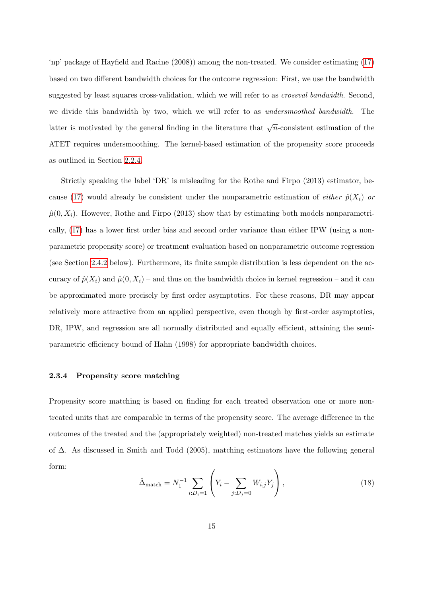'np' package of Hayfield and Racine (2008)) among the non-treated. We consider estimating [\(17\)](#page-16-0) based on two different bandwidth choices for the outcome regression: First, we use the bandwidth suggested by least squares cross-validation, which we will refer to as *crossval bandwidth*. Second, we divide this bandwidth by two, which we will refer to as *undersmoothed bandwidth*. The latter is motivated by the general finding in the literature that  $\sqrt{n}$ -consistent estimation of the ATET requires undersmoothing. The kernel-based estimation of the propensity score proceeds as outlined in Section [2.2.4.](#page-13-2)

Strictly speaking the label 'DR' is misleading for the Rothe and Firpo (2013) estimator, be-cause [\(17\)](#page-16-0) would already be consistent under the nonparametric estimation of *either*  $\hat{p}(X_i)$  or  $\hat{\mu}(0, X_i)$ . However, Rothe and Firpo (2013) show that by estimating both models nonparametrically, [\(17\)](#page-16-0) has a lower first order bias and second order variance than either IPW (using a nonparametric propensity score) or treatment evaluation based on nonparametric outcome regression (see Section [2.4.2](#page-23-0) below). Furthermore, its finite sample distribution is less dependent on the accuracy of  $\hat{p}(X_i)$  and  $\hat{\mu}(0, X_i)$  – and thus on the bandwidth choice in kernel regression – and it can be approximated more precisely by first order asymptotics. For these reasons, DR may appear relatively more attractive from an applied perspective, even though by first-order asymptotics, DR, IPW, and regression are all normally distributed and equally efficient, attaining the semiparametric efficiency bound of Hahn (1998) for appropriate bandwidth choices.

#### <span id="page-17-1"></span>2.3.4 Propensity score matching

<span id="page-17-0"></span>Propensity score matching is based on finding for each treated observation one or more nontreated units that are comparable in terms of the propensity score. The average difference in the outcomes of the treated and the (appropriately weighted) non-treated matches yields an estimate of ∆. As discussed in Smith and Todd (2005), matching estimators have the following general form:

$$
\hat{\Delta}_{\text{match}} = N_1^{-1} \sum_{i:D_i=1} \left( Y_i - \sum_{j:D_j=0} W_{i,j} Y_j \right),\tag{18}
$$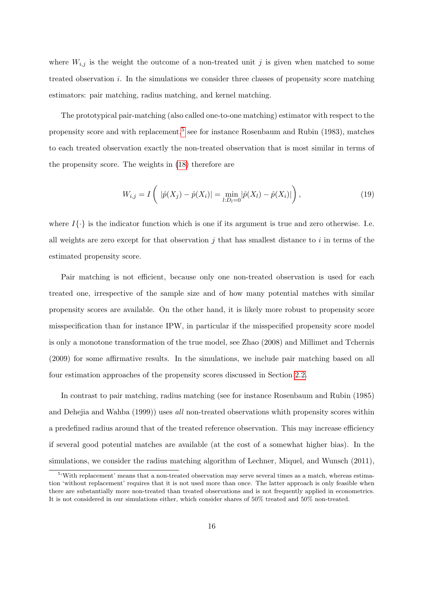where  $W_{i,j}$  is the weight the outcome of a non-treated unit j is given when matched to some treated observation  $i$ . In the simulations we consider three classes of propensity score matching estimators: pair matching, radius matching, and kernel matching.

The prototypical pair-matching (also called one-to-one matching) estimator with respect to the propensity score and with replacement,<sup>[5](#page--1-0)</sup> see for instance Rosenbaum and Rubin (1983), matches to each treated observation exactly the non-treated observation that is most similar in terms of the propensity score. The weights in [\(18\)](#page-17-0) therefore are

$$
W_{i,j} = I\left( |\hat{p}(X_j) - \hat{p}(X_i)| = \min_{l:D_l=0} |\hat{p}(X_l) - \hat{p}(X_i)| \right),\tag{19}
$$

where  $I\{\cdot\}$  is the indicator function which is one if its argument is true and zero otherwise. I.e. all weights are zero except for that observation  $j$  that has smallest distance to  $i$  in terms of the estimated propensity score.

Pair matching is not efficient, because only one non-treated observation is used for each treated one, irrespective of the sample size and of how many potential matches with similar propensity scores are available. On the other hand, it is likely more robust to propensity score misspecification than for instance IPW, in particular if the misspecified propensity score model is only a monotone transformation of the true model, see Zhao (2008) and Millimet and Tchernis (2009) for some affirmative results. In the simulations, we include pair matching based on all four estimation approaches of the propensity scores discussed in Section [2.2.](#page-8-0)

In contrast to pair matching, radius matching (see for instance Rosenbaum and Rubin (1985) and Dehejia and Wahba (1999)) uses all non-treated observations whith propensity scores within a predefined radius around that of the treated reference observation. This may increase efficiency if several good potential matches are available (at the cost of a somewhat higher bias). In the simulations, we consider the radius matching algorithm of Lechner, Miquel, and Wunsch (2011),

<sup>&</sup>lt;sup>5</sup>'With replacement' means that a non-treated observation may serve several times as a match, whereas estimation 'without replacement' requires that it is not used more than once. The latter approach is only feasible when there are substantially more non-treated than treated observations and is not frequently applied in econometrics. It is not considered in our simulations either, which consider shares of 50% treated and 50% non-treated.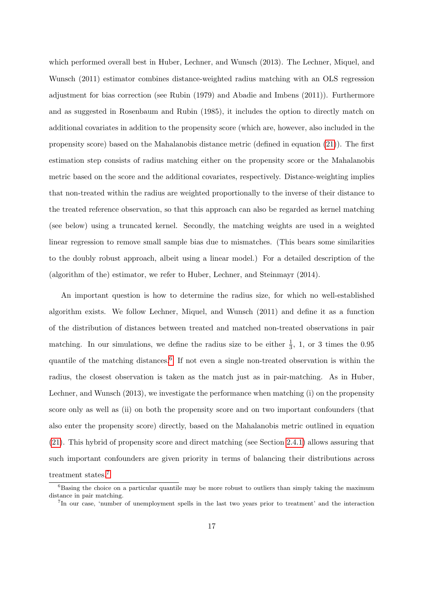which performed overall best in Huber, Lechner, and Wunsch (2013). The Lechner, Miquel, and Wunsch (2011) estimator combines distance-weighted radius matching with an OLS regression adjustment for bias correction (see Rubin (1979) and Abadie and Imbens (2011)). Furthermore and as suggested in Rosenbaum and Rubin (1985), it includes the option to directly match on additional covariates in addition to the propensity score (which are, however, also included in the propensity score) based on the Mahalanobis distance metric (defined in equation [\(21\)](#page-21-1)). The first estimation step consists of radius matching either on the propensity score or the Mahalanobis metric based on the score and the additional covariates, respectively. Distance-weighting implies that non-treated within the radius are weighted proportionally to the inverse of their distance to the treated reference observation, so that this approach can also be regarded as kernel matching (see below) using a truncated kernel. Secondly, the matching weights are used in a weighted linear regression to remove small sample bias due to mismatches. (This bears some similarities to the doubly robust approach, albeit using a linear model.) For a detailed description of the (algorithm of the) estimator, we refer to Huber, Lechner, and Steinmayr (2014).

An important question is how to determine the radius size, for which no well-established algorithm exists. We follow Lechner, Miquel, and Wunsch (2011) and define it as a function of the distribution of distances between treated and matched non-treated observations in pair matching. In our simulations, we define the radius size to be either  $\frac{1}{3}$ , 1, or 3 times the 0.95 quantile of the matching distances.<sup>[6](#page--1-0)</sup> If not even a single non-treated observation is within the radius, the closest observation is taken as the match just as in pair-matching. As in Huber, Lechner, and Wunsch (2013), we investigate the performance when matching (i) on the propensity score only as well as (ii) on both the propensity score and on two important confounders (that also enter the propensity score) directly, based on the Mahalanobis metric outlined in equation [\(21\)](#page-21-1). This hybrid of propensity score and direct matching (see Section [2.4.1\)](#page-21-2) allows assuring that such important confounders are given priority in terms of balancing their distributions across treatment states.[7](#page--1-0)

 $6$ Basing the choice on a particular quantile may be more robust to outliers than simply taking the maximum distance in pair matching.

<sup>7</sup> In our case, 'number of unemployment spells in the last two years prior to treatment' and the interaction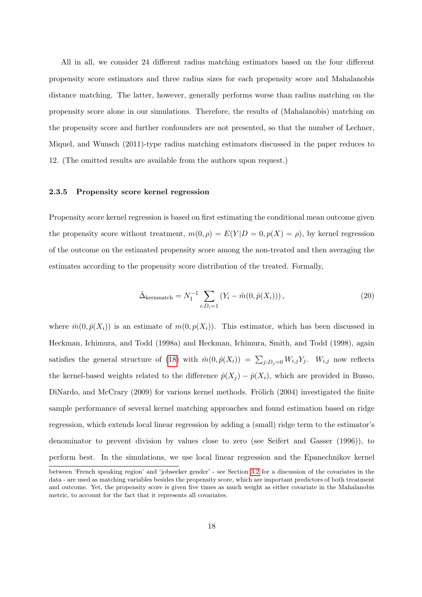All in all, we consider 24 different radius matching estimators based on the four different propensity score estimators and three radius sizes for each propensity score and Mahalanobis distance matching. The latter, however, generally performs worse than radius matching on the propensity score alone in our simulations. Therefore, the results of (Mahalanobis) matching on the propensity score and further confounders are not presented, so that the number of Lechner, Miquel, and Wunsch (2011)-type radius matching estimators discussed in the paper reduces to 12. (The omitted results are available from the authors upon request.)

#### 2.3.5 Propensity score kernel regression

Propensity score kernel regression is based on first estimating the conditional mean outcome given the propensity score without treatment,  $m(0, \rho) = E(Y|D = 0, p(X) = \rho)$ , by kernel regression of the outcome on the estimated propensity score among the non-treated and then averaging the estimates according to the propensity score distribution of the treated. Formally,

$$
\hat{\Delta}_{\text{kernmatch}} = N_1^{-1} \sum_{i:D_i=1} (Y_i - \hat{m}(0, \hat{p}(X_i))), \qquad (20)
$$

where  $\hat{m}(0, \hat{p}(X_i))$  is an estimate of  $m(0, p(X_i))$ . This estimator, which has been discussed in Heckman, Ichimura, and Todd (1998a) and Heckman, Ichimura, Smith, and Todd (1998), again satisfies the general structure of [\(18\)](#page-17-0) with  $\hat{m}(0, \hat{p}(X_i)) = \sum_{j:D_j=0} W_{i,j} Y_j$ .  $W_{i,j}$  now reflects the kernel-based weights related to the difference  $\hat{p}(X_i) - \hat{p}(X_i)$ , which are provided in Busso, DiNardo, and McCrary  $(2009)$  for various kernel methods. Frölich  $(2004)$  investigated the finite sample performance of several kernel matching approaches and found estimation based on ridge regression, which extends local linear regression by adding a (small) ridge term to the estimator's denominator to prevent division by values close to zero (see Seifert and Gasser (1996)), to perform best. In the simulations, we use local linear regression and the Epanechnikov kernel

between 'French speaking region' and 'jobseeker gender' - see Section [3.2](#page-27-0) for a discussion of the covariates in the data - are used as matching variables besides the propensity score, which are important predictors of both treatment and outcome. Yet, the propensity score is given five times as much weight as either covariate in the Mahalanobis metric, to account for the fact that it represents all covariates.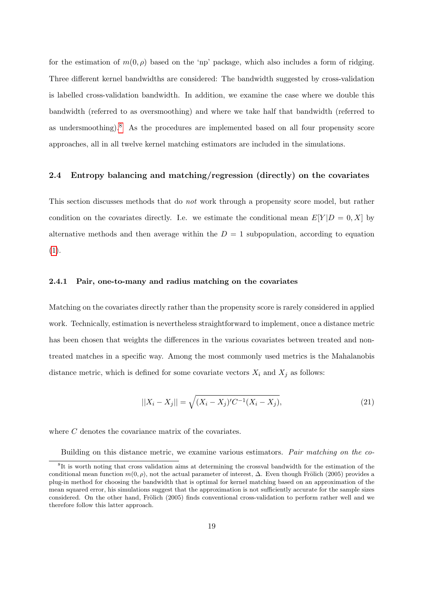for the estimation of  $m(0, \rho)$  based on the 'np' package, which also includes a form of ridging. Three different kernel bandwidths are considered: The bandwidth suggested by cross-validation is labelled cross-validation bandwidth. In addition, we examine the case where we double this bandwidth (referred to as oversmoothing) and where we take half that bandwidth (referred to as undersmoothing).<sup>[8](#page--1-0)</sup> As the procedures are implemented based on all four propensity score approaches, all in all twelve kernel matching estimators are included in the simulations.

#### <span id="page-21-0"></span>2.4 Entropy balancing and matching/regression (directly) on the covariates

This section discusses methods that do not work through a propensity score model, but rather condition on the covariates directly. I.e. we estimate the conditional mean  $E[Y|D = 0, X]$  by alternative methods and then average within the  $D = 1$  subpopulation, according to equation  $(1).$  $(1).$ 

#### <span id="page-21-2"></span>2.4.1 Pair, one-to-many and radius matching on the covariates

Matching on the covariates directly rather than the propensity score is rarely considered in applied work. Technically, estimation is nevertheless straightforward to implement, once a distance metric has been chosen that weights the differences in the various covariates between treated and nontreated matches in a specific way. Among the most commonly used metrics is the Mahalanobis distance metric, which is defined for some covariate vectors  $X_i$  and  $X_j$  as follows:

<span id="page-21-1"></span>
$$
||X_i - X_j|| = \sqrt{(X_i - X_j)'\mathcal{C}^{-1}(X_i - X_j)},\tag{21}
$$

where C denotes the covariance matrix of the covariates.

Building on this distance metric, we examine various estimators. Pair matching on the co-

<sup>&</sup>lt;sup>8</sup>It is worth noting that cross validation aims at determining the crossval bandwidth for the estimation of the conditional mean function  $m(0, \rho)$ , not the actual parameter of interest,  $\Delta$ . Even though Frölich (2005) provides a plug-in method for choosing the bandwidth that is optimal for kernel matching based on an approximation of the mean squared error, his simulations suggest that the approximation is not sufficiently accurate for the sample sizes considered. On the other hand, Frölich (2005) finds conventional cross-validation to perform rather well and we therefore follow this latter approach.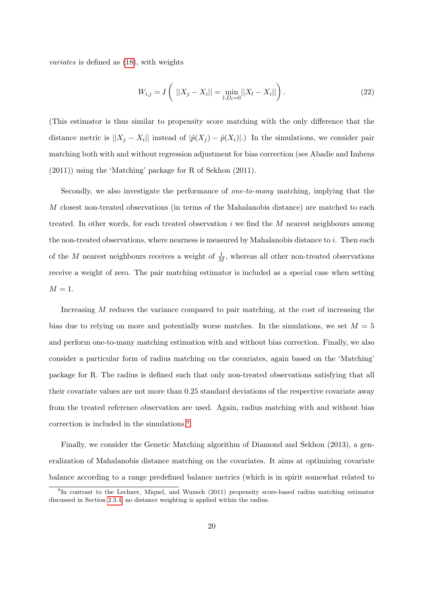variates is defined as [\(18\)](#page-17-0), with weights

$$
W_{i,j} = I\left( ||X_j - X_i|| = \min_{l:D_l=0} ||X_l - X_i|| \right).
$$
 (22)

(This estimator is thus similar to propensity score matching with the only difference that the distance metric is  $||X_j - X_i||$  instead of  $|\hat{p}(X_j) - \hat{p}(X_i)|$ . In the simulations, we consider pair matching both with and without regression adjustment for bias correction (see Abadie and Imbens (2011)) using the 'Matching' package for R of Sekhon (2011).

Secondly, we also investigate the performance of *one-to-many* matching, implying that the M closest non-treated observations (in terms of the Mahalanobis distance) are matched to each treated. In other words, for each treated observation  $i$  we find the  $M$  nearest neighbours among the non-treated observations, where nearness is measured by Mahalanobis distance to  $i$ . Then each of the M nearest neighbours receives a weight of  $\frac{1}{M}$ , whereas all other non-treated observations receive a weight of zero. The pair matching estimator is included as a special case when setting  $M = 1$ .

Increasing M reduces the variance compared to pair matching, at the cost of increasing the bias due to relying on more and potentially worse matches. In the simulations, we set  $M = 5$ and perform one-to-many matching estimation with and without bias correction. Finally, we also consider a particular form of radius matching on the covariates, again based on the 'Matching' package for R. The radius is defined such that only non-treated observations satisfying that all their covariate values are not more than 0.25 standard deviations of the respective covariate away from the treated reference observation are used. Again, radius matching with and without bias correction is included in the simulations.[9](#page--1-0)

Finally, we consider the Genetic Matching algorithm of Diamond and Sekhon (2013), a generalization of Mahalanobis distance matching on the covariates. It aims at optimizing covariate balance according to a range predefined balance metrics (which is in spirit somewhat related to

<sup>&</sup>lt;sup>9</sup>In contrast to the Lechner, Miquel, and Wunsch (2011) propensity score-based radius matching estimator discussed in Section [2.3.4,](#page-17-1) no distance weighting is applied within the radius.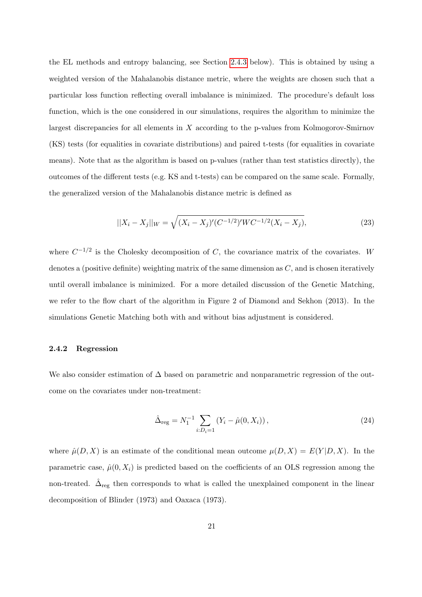the EL methods and entropy balancing, see Section [2.4.3](#page-24-0) below). This is obtained by using a weighted version of the Mahalanobis distance metric, where the weights are chosen such that a particular loss function reflecting overall imbalance is minimized. The procedure's default loss function, which is the one considered in our simulations, requires the algorithm to minimize the largest discrepancies for all elements in X according to the p-values from Kolmogorov-Smirnov (KS) tests (for equalities in covariate distributions) and paired t-tests (for equalities in covariate means). Note that as the algorithm is based on p-values (rather than test statistics directly), the outcomes of the different tests (e.g. KS and t-tests) can be compared on the same scale. Formally, the generalized version of the Mahalanobis distance metric is defined as

$$
||X_i - X_j||_W = \sqrt{(X_i - X_j)'(C^{-1/2})'WC^{-1/2}(X_i - X_j)},
$$
\n(23)

where  $C^{-1/2}$  is the Cholesky decomposition of C, the covariance matrix of the covariates. W denotes a (positive definite) weighting matrix of the same dimension as  $C$ , and is chosen iteratively until overall imbalance is minimized. For a more detailed discussion of the Genetic Matching, we refer to the flow chart of the algorithm in Figure 2 of Diamond and Sekhon (2013). In the simulations Genetic Matching both with and without bias adjustment is considered.

#### <span id="page-23-0"></span>2.4.2 Regression

We also consider estimation of  $\Delta$  based on parametric and nonparametric regression of the outcome on the covariates under non-treatment:

<span id="page-23-1"></span>
$$
\hat{\Delta}_{\text{reg}} = N_1^{-1} \sum_{i:D_i=1} (Y_i - \hat{\mu}(0, X_i)), \qquad (24)
$$

where  $\hat{\mu}(D, X)$  is an estimate of the conditional mean outcome  $\mu(D, X) = E(Y|D, X)$ . In the parametric case,  $\hat{\mu}(0, X_i)$  is predicted based on the coefficients of an OLS regression among the non-treated.  $\hat{\Delta}_{reg}$  then corresponds to what is called the unexplained component in the linear decomposition of Blinder (1973) and Oaxaca (1973).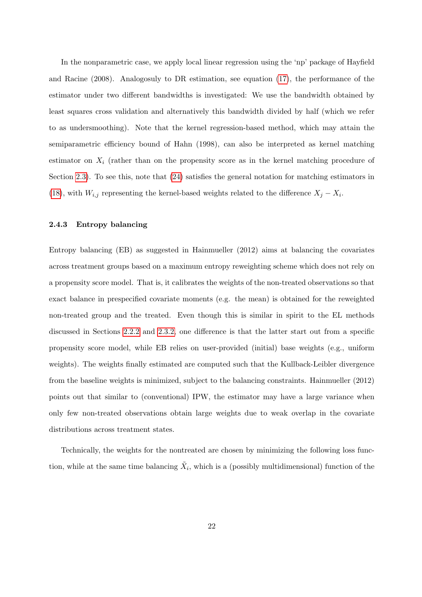In the nonparametric case, we apply local linear regression using the 'np' package of Hayfield and Racine (2008). Analogosuly to DR estimation, see equation [\(17\)](#page-16-0), the performance of the estimator under two different bandwidths is investigated: We use the bandwidth obtained by least squares cross validation and alternatively this bandwidth divided by half (which we refer to as undersmoothing). Note that the kernel regression-based method, which may attain the semiparametric efficiency bound of Hahn (1998), can also be interpreted as kernel matching estimator on  $X_i$  (rather than on the propensity score as in the kernel matching procedure of Section [2.3\)](#page-13-0). To see this, note that [\(24\)](#page-23-1) satisfies the general notation for matching estimators in [\(18\)](#page-17-0), with  $W_{i,j}$  representing the kernel-based weights related to the difference  $X_j - X_i$ .

#### <span id="page-24-0"></span>2.4.3 Entropy balancing

Entropy balancing (EB) as suggested in Hainmueller (2012) aims at balancing the covariates across treatment groups based on a maximum entropy reweighting scheme which does not rely on a propensity score model. That is, it calibrates the weights of the non-treated observations so that exact balance in prespecified covariate moments (e.g. the mean) is obtained for the reweighted non-treated group and the treated. Even though this is similar in spirit to the EL methods discussed in Sections [2.2.2](#page-10-2) and [2.3.2,](#page-14-0) one difference is that the latter start out from a specific propensity score model, while EB relies on user-provided (initial) base weights (e.g., uniform weights). The weights finally estimated are computed such that the Kullback-Leibler divergence from the baseline weights is minimized, subject to the balancing constraints. Hainmueller (2012) points out that similar to (conventional) IPW, the estimator may have a large variance when only few non-treated observations obtain large weights due to weak overlap in the covariate distributions across treatment states.

Technically, the weights for the nontreated are chosen by minimizing the following loss function, while at the same time balancing  $\tilde{X}_i$ , which is a (possibly multidimensional) function of the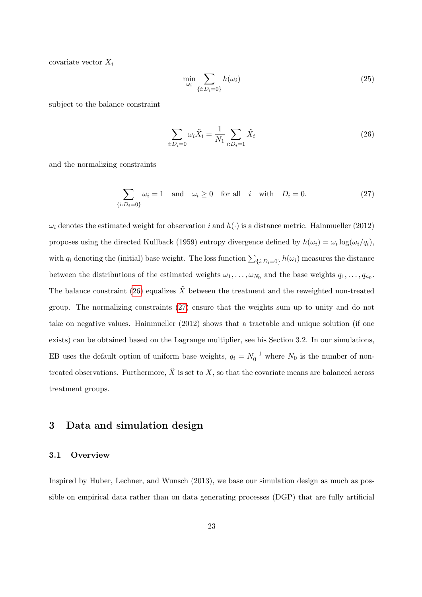covariate vector  $X_i$ 

<span id="page-25-1"></span>
$$
\min_{\omega_i} \sum_{\{i:D_i=0\}} h(\omega_i) \tag{25}
$$

subject to the balance constraint

<span id="page-25-2"></span>
$$
\sum_{i:D_i=0} \omega_i \tilde{X}_i = \frac{1}{N_1} \sum_{i:D_i=1} \tilde{X}_i
$$
\n(26)

and the normalizing constraints

$$
\sum_{\{i:D_i=0\}} \omega_i = 1 \quad \text{and} \quad \omega_i \ge 0 \quad \text{for all} \quad i \quad \text{with} \quad D_i = 0. \tag{27}
$$

 $\omega_i$  denotes the estimated weight for observation i and  $h(\cdot)$  is a distance metric. Hainmueller (2012) proposes using the directed Kullback (1959) entropy divergence defined by  $h(\omega_i) = \omega_i \log(\omega_i/q_i)$ , with  $q_i$  denoting the (initial) base weight. The loss function  $\sum_{\{i:D_i=0\}} h(\omega_i)$  measures the distance between the distributions of the estimated weights  $\omega_1, \ldots, \omega_{N_0}$  and the base weights  $q_1, \ldots, q_{n_0}$ . The balance constraint [\(26\)](#page-25-1) equalizes  $\tilde{X}$  between the treatment and the reweighted non-treated group. The normalizing constraints [\(27\)](#page-25-2) ensure that the weights sum up to unity and do not take on negative values. Hainmueller (2012) shows that a tractable and unique solution (if one exists) can be obtained based on the Lagrange multiplier, see his Section 3.2. In our simulations, EB uses the default option of uniform base weights,  $q_i = N_0^{-1}$  where  $N_0$  is the number of nontreated observations. Furthermore,  $\tilde{X}$  is set to X, so that the covariate means are balanced across treatment groups.

## <span id="page-25-0"></span>3 Data and simulation design

### 3.1 Overview

Inspired by Huber, Lechner, and Wunsch (2013), we base our simulation design as much as possible on empirical data rather than on data generating processes (DGP) that are fully artificial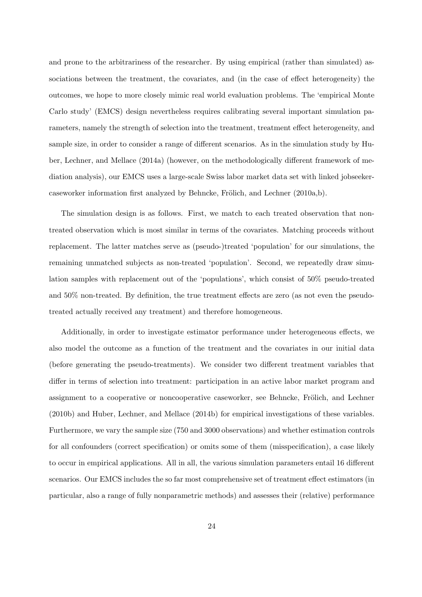and prone to the arbitrariness of the researcher. By using empirical (rather than simulated) associations between the treatment, the covariates, and (in the case of effect heterogeneity) the outcomes, we hope to more closely mimic real world evaluation problems. The 'empirical Monte Carlo study' (EMCS) design nevertheless requires calibrating several important simulation parameters, namely the strength of selection into the treatment, treatment effect heterogeneity, and sample size, in order to consider a range of different scenarios. As in the simulation study by Huber, Lechner, and Mellace (2014a) (however, on the methodologically different framework of mediation analysis), our EMCS uses a large-scale Swiss labor market data set with linked jobseekercaseworker information first analyzed by Behncke, Frölich, and Lechner (2010a,b).

The simulation design is as follows. First, we match to each treated observation that nontreated observation which is most similar in terms of the covariates. Matching proceeds without replacement. The latter matches serve as (pseudo-)treated 'population' for our simulations, the remaining unmatched subjects as non-treated 'population'. Second, we repeatedly draw simulation samples with replacement out of the 'populations', which consist of 50% pseudo-treated and 50% non-treated. By definition, the true treatment effects are zero (as not even the pseudotreated actually received any treatment) and therefore homogeneous.

Additionally, in order to investigate estimator performance under heterogeneous effects, we also model the outcome as a function of the treatment and the covariates in our initial data (before generating the pseudo-treatments). We consider two different treatment variables that differ in terms of selection into treatment: participation in an active labor market program and assignment to a cooperative or noncooperative caseworker, see Behncke, Frölich, and Lechner (2010b) and Huber, Lechner, and Mellace (2014b) for empirical investigations of these variables. Furthermore, we vary the sample size (750 and 3000 observations) and whether estimation controls for all confounders (correct specification) or omits some of them (misspecification), a case likely to occur in empirical applications. All in all, the various simulation parameters entail 16 different scenarios. Our EMCS includes the so far most comprehensive set of treatment effect estimators (in particular, also a range of fully nonparametric methods) and assesses their (relative) performance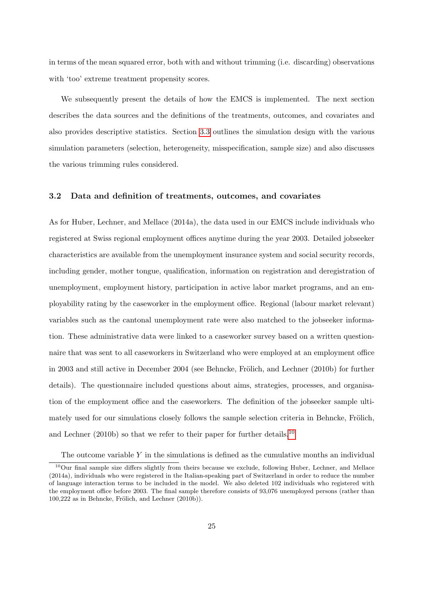in terms of the mean squared error, both with and without trimming (i.e. discarding) observations with 'too' extreme treatment propensity scores.

We subsequently present the details of how the EMCS is implemented. The next section describes the data sources and the definitions of the treatments, outcomes, and covariates and also provides descriptive statistics. Section [3.3](#page-30-0) outlines the simulation design with the various simulation parameters (selection, heterogeneity, misspecification, sample size) and also discusses the various trimming rules considered.

#### <span id="page-27-0"></span>3.2 Data and definition of treatments, outcomes, and covariates

As for Huber, Lechner, and Mellace (2014a), the data used in our EMCS include individuals who registered at Swiss regional employment offices anytime during the year 2003. Detailed jobseeker characteristics are available from the unemployment insurance system and social security records, including gender, mother tongue, qualification, information on registration and deregistration of unemployment, employment history, participation in active labor market programs, and an employability rating by the caseworker in the employment office. Regional (labour market relevant) variables such as the cantonal unemployment rate were also matched to the jobseeker information. These administrative data were linked to a caseworker survey based on a written questionnaire that was sent to all caseworkers in Switzerland who were employed at an employment office in 2003 and still active in December 2004 (see Behncke, Frölich, and Lechner  $(2010b)$  for further details). The questionnaire included questions about aims, strategies, processes, and organisation of the employment office and the caseworkers. The definition of the jobseeker sample ultimately used for our simulations closely follows the sample selection criteria in Behncke, Frölich, and Lechner (20[10](#page--1-0)b) so that we refer to their paper for further details.<sup>10</sup>

The outcome variable  $Y$  in the simulations is defined as the cumulative months an individual

<sup>&</sup>lt;sup>10</sup>Our final sample size differs slightly from theirs because we exclude, following Huber, Lechner, and Mellace (2014a), individuals who were registered in the Italian-speaking part of Switzerland in order to reduce the number of language interaction terms to be included in the model. We also deleted 102 individuals who registered with the employment office before 2003. The final sample therefore consists of 93,076 unemployed persons (rather than  $100,222$  as in Behncke, Frölich, and Lechner  $(2010b)$ ).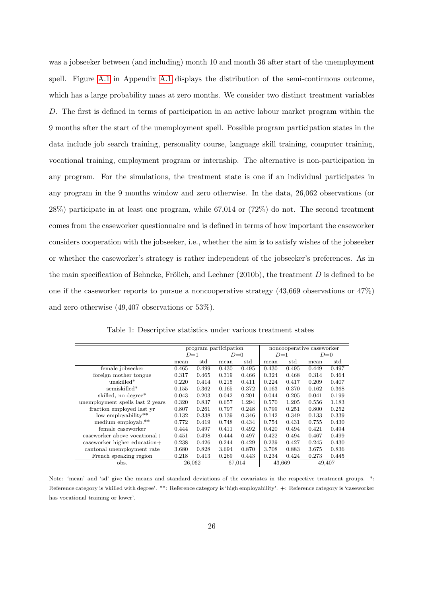was a jobseeker between (and including) month 10 and month 36 after start of the unemployment spell. Figure [A.1](#page-52-0) in Appendix [A.1](#page-51-0) displays the distribution of the semi-continuous outcome, which has a large probability mass at zero months. We consider two distinct treatment variables D. The first is defined in terms of participation in an active labour market program within the 9 months after the start of the unemployment spell. Possible program participation states in the data include job search training, personality course, language skill training, computer training, vocational training, employment program or internship. The alternative is non-participation in any program. For the simulations, the treatment state is one if an individual participates in any program in the 9 months window and zero otherwise. In the data, 26,062 observations (or 28%) participate in at least one program, while 67,014 or (72%) do not. The second treatment comes from the caseworker questionnaire and is defined in terms of how important the caseworker considers cooperation with the jobseeker, i.e., whether the aim is to satisfy wishes of the jobseeker or whether the caseworker's strategy is rather independent of the jobseeker's preferences. As in the main specification of Behncke, Frölich, and Lechner (2010b), the treatment  $D$  is defined to be one if the caseworker reports to pursue a noncooperative strategy (43,669 observations or 47%) and zero otherwise (49,407 observations or 53%).

<span id="page-28-0"></span>

|                                  |        |       | program participation |        |       |        | noncooperative caseworker |        |  |  |
|----------------------------------|--------|-------|-----------------------|--------|-------|--------|---------------------------|--------|--|--|
|                                  | $D=1$  |       |                       | $D=0$  | $D=1$ |        |                           | $D=0$  |  |  |
|                                  | mean   | std   | mean                  | std    | mean  | std    | mean                      | std    |  |  |
| female jobseeker                 | 0.465  | 0.499 | 0.430                 | 0.495  | 0.430 | 0.495  | 0.449                     | 0.497  |  |  |
| foreign mother tongue            | 0.317  | 0.465 | 0.319                 | 0.466  | 0.324 | 0.468  | 0.314                     | 0.464  |  |  |
| $unskilled*$                     | 0.220  | 0.414 | 0.215                 | 0.411  | 0.224 | 0.417  | 0.209                     | 0.407  |  |  |
| semiskilled*                     | 0.155  | 0.362 | 0.165                 | 0.372  | 0.163 | 0.370  | 0.162                     | 0.368  |  |  |
| skilled, no degree*              | 0.043  | 0.203 | 0.042                 | 0.201  | 0.044 | 0.205  | 0.041                     | 0.199  |  |  |
| unemployment spells last 2 years | 0.320  | 0.837 | 0.657                 | 1.294  | 0.570 | 1.205  | 0.556                     | 1.183  |  |  |
| fraction employed last yr        | 0.807  | 0.261 | 0.797                 | 0.248  | 0.799 | 0.251  | 0.800                     | 0.252  |  |  |
| low employability**              | 0.132  | 0.338 | 0.139                 | 0.346  | 0.142 | 0.349  | 0.133                     | 0.339  |  |  |
| medium employab.**               | 0.772  | 0.419 | 0.748                 | 0.434  | 0.754 | 0.431  | 0.755                     | 0.430  |  |  |
| female caseworker                | 0.444  | 0.497 | 0.411                 | 0.492  | 0.420 | 0.494  | 0.421                     | 0.494  |  |  |
| caseworker above vocational+     | 0.451  | 0.498 | 0.444                 | 0.497  | 0.422 | 0.494  | 0.467                     | 0.499  |  |  |
| caseworker higher education+     | 0.238  | 0.426 | 0.244                 | 0.429  | 0.239 | 0.427  | 0.245                     | 0.430  |  |  |
| cantonal unemployment rate       | 3.680  | 0.828 | 3.694                 | 0.870  | 3.708 | 0.883  | 3.675                     | 0.836  |  |  |
| French speaking region           | 0.218  | 0.413 | 0.269                 | 0.443  | 0.234 | 0.424  | 0.273                     | 0.445  |  |  |
| obs.                             | 26,062 |       |                       | 67,014 |       | 43,669 |                           | 49,407 |  |  |

Table 1: Descriptive statistics under various treatment states

Note: 'mean' and 'sd' give the means and standard deviations of the covariates in the respective treatment groups. \*: Reference category is 'skilled with degree'. \*\*: Reference category is 'high employability'. +: Reference category is 'caseworker has vocational training or lower'.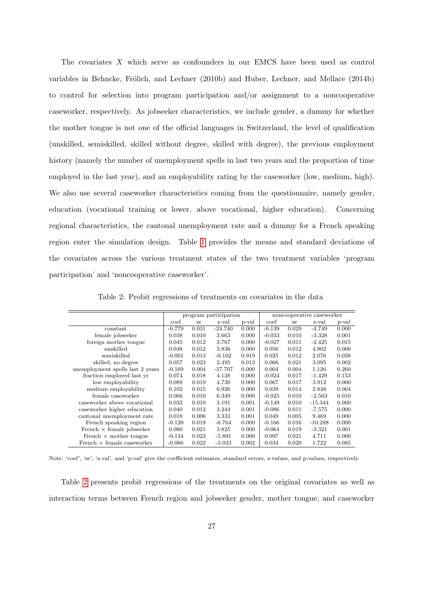The covariates X which serve as confounders in our EMCS have been used as control variables in Behncke, Frölich, and Lechner (2010b) and Huber, Lechner, and Mellace (2014b) to control for selection into program participation and/or assignment to a noncooperative caseworker, respectively. As jobseeker characteristics, we include gender, a dummy for whether the mother tongue is not one of the official languages in Switzerland, the level of qualification (unskilled, semiskilled, skilled without degree, skilled with degree), the previous employment history (namely the number of unemployment spells in last two years and the proportion of time employed in the last year), and an employability rating by the caseworker (low, medium, high). We also use several caseworker characteristics coming from the questionnaire, namely gender, education (vocational training or lower, above vocational, higher education). Concerning regional characteristics, the cantonal unemployment rate and a dummy for a French speaking region enter the simulation design. Table [1](#page-28-0) provides the means and standard deviations of the covariates across the various treatment states of the two treatment variables 'program participation' and 'noncooperative caseworker'.

<span id="page-29-0"></span>

|                                   |          |       | program participation |       |          |       | noncooperative caseworker |       |
|-----------------------------------|----------|-------|-----------------------|-------|----------|-------|---------------------------|-------|
|                                   | coef     | se    | z-val                 | p-val | coef     | se    | z-val                     | p-val |
| constant                          | $-0.779$ | 0.031 | $-24.740$             | 0.000 | $-0.139$ | 0.029 | $-4.749$                  | 0.000 |
| female jobseeker                  | 0.038    | 0.010 | 3.663                 | 0.000 | $-0.033$ | 0.010 | $-3.328$                  | 0.001 |
| foreign mother tongue             | 0.045    | 0.012 | 3.767                 | 0.000 | $-0.027$ | 0.011 | $-2.425$                  | 0.015 |
| unskilled                         | 0.048    | 0.012 | 3.836                 | 0.000 | 0.056    | 0.012 | 4.802                     | 0.000 |
| semiskilled                       | $-0.001$ | 0.013 | $-0.102$              | 0.919 | 0.025    | 0.012 | 2.076                     | 0.038 |
| skilled, no degree                | 0.057    | 0.023 | 2.495                 | 0.013 | 0.066    | 0.021 | 3.095                     | 0.002 |
| unemployment spells last 2 years  | $-0.169$ | 0.004 | $-37.707$             | 0.000 | 0.004    | 0.004 | 1.126                     | 0.260 |
| fraction employed last yr         | 0.074    | 0.018 | 4.138                 | 0.000 | $-0.024$ | 0.017 | $-1.429$                  | 0.153 |
| low employability                 | 0.089    | 0.019 | 4.730                 | 0.000 | 0.067    | 0.017 | 3.912                     | 0.000 |
| medium employability              | 0.102    | 0.015 | 6.926                 | 0.000 | 0.039    | 0.014 | 2.848                     | 0.004 |
| female caseworker                 | 0.066    | 0.010 | 6.349                 | 0.000 | $-0.025$ | 0.010 | $-2.563$                  | 0.010 |
| caseworker above vocational       | 0.033    | 0.010 | 3.191                 | 0.001 | $-0.149$ | 0.010 | $-15.344$                 | 0.000 |
| caseworker higher education       | 0.040    | 0.012 | 3.244                 | 0.001 | $-0.086$ | 0.011 | $-7.575$                  | 0.000 |
| cantonal unemployment rate        | 0.018    | 0.006 | 3.333                 | 0.001 | 0.049    | 0.005 | 9.469                     | 0.000 |
| French speaking region            | $-0.120$ | 0.018 | $-6.764$              | 0.000 | $-0.166$ | 0.016 | $-10.288$                 | 0.000 |
| French $\times$ female jobseeker  | 0.080    | 0.021 | 3.825                 | 0.000 | $-0.064$ | 0.019 | $-3.321$                  | 0.001 |
| French $\times$ mother tongue     | $-0.134$ | 0.023 | $-5.891$              | 0.000 | 0.097    | 0.021 | 4.711                     | 0.000 |
| French $\times$ female caseworker | $-0.066$ | 0.022 | $-3.033$              | 0.002 | 0.034    | 0.020 | 1.722                     | 0.085 |

Table 2: Probit regressions of treatments on covariates in the data

Note: 'coef', 'se', 'z-val', and 'p-val' give the coefficient estimates, standard errors, z-values, and p-values, respectively.

Table [2](#page-29-0) presents probit regressions of the treatments on the original covariates as well as interaction terms between French region and jobseeker gender, mother tongue, and caseworker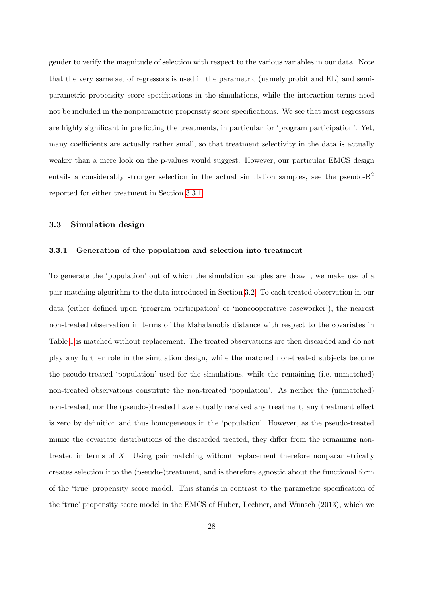gender to verify the magnitude of selection with respect to the various variables in our data. Note that the very same set of regressors is used in the parametric (namely probit and EL) and semiparametric propensity score specifications in the simulations, while the interaction terms need not be included in the nonparametric propensity score specifications. We see that most regressors are highly significant in predicting the treatments, in particular for 'program participation'. Yet, many coefficients are actually rather small, so that treatment selectivity in the data is actually weaker than a mere look on the p-values would suggest. However, our particular EMCS design entails a considerably stronger selection in the actual simulation samples, see the pseudo- $R<sup>2</sup>$ reported for either treatment in Section [3.3.1.](#page-30-1)

#### <span id="page-30-1"></span><span id="page-30-0"></span>3.3 Simulation design

#### 3.3.1 Generation of the population and selection into treatment

To generate the 'population' out of which the simulation samples are drawn, we make use of a pair matching algorithm to the data introduced in Section [3.2.](#page-27-0) To each treated observation in our data (either defined upon 'program participation' or 'noncooperative caseworker'), the nearest non-treated observation in terms of the Mahalanobis distance with respect to the covariates in Table [1](#page-28-0) is matched without replacement. The treated observations are then discarded and do not play any further role in the simulation design, while the matched non-treated subjects become the pseudo-treated 'population' used for the simulations, while the remaining (i.e. unmatched) non-treated observations constitute the non-treated 'population'. As neither the (unmatched) non-treated, nor the (pseudo-)treated have actually received any treatment, any treatment effect is zero by definition and thus homogeneous in the 'population'. However, as the pseudo-treated mimic the covariate distributions of the discarded treated, they differ from the remaining nontreated in terms of X. Using pair matching without replacement therefore nonparametrically creates selection into the (pseudo-)treatment, and is therefore agnostic about the functional form of the 'true' propensity score model. This stands in contrast to the parametric specification of the 'true' propensity score model in the EMCS of Huber, Lechner, and Wunsch (2013), which we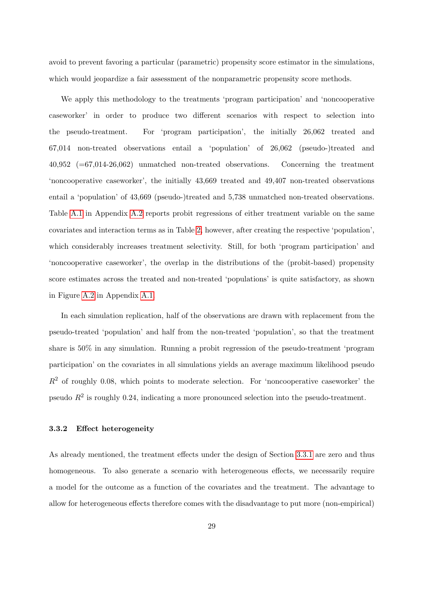avoid to prevent favoring a particular (parametric) propensity score estimator in the simulations, which would jeopardize a fair assessment of the nonparametric propensity score methods.

We apply this methodology to the treatments 'program participation' and 'noncooperative caseworker' in order to produce two different scenarios with respect to selection into the pseudo-treatment. For 'program participation', the initially 26,062 treated and 67,014 non-treated observations entail a 'population' of 26,062 (pseudo-)treated and 40,952 (=67,014-26,062) unmatched non-treated observations. Concerning the treatment 'noncooperative caseworker', the initially 43,669 treated and 49,407 non-treated observations entail a 'population' of 43,669 (pseudo-)treated and 5,738 unmatched non-treated observations. Table [A.1](#page-53-0) in Appendix [A.2](#page-51-1) reports probit regressions of either treatment variable on the same covariates and interaction terms as in Table [2,](#page-29-0) however, after creating the respective 'population', which considerably increases treatment selectivity. Still, for both 'program participation' and 'noncooperative caseworker', the overlap in the distributions of the (probit-based) propensity score estimates across the treated and non-treated 'populations' is quite satisfactory, as shown in Figure [A.2](#page-52-1) in Appendix [A.1.](#page-51-0)

In each simulation replication, half of the observations are drawn with replacement from the pseudo-treated 'population' and half from the non-treated 'population', so that the treatment share is 50% in any simulation. Running a probit regression of the pseudo-treatment 'program participation' on the covariates in all simulations yields an average maximum likelihood pseudo  $R<sup>2</sup>$  of roughly 0.08, which points to moderate selection. For 'noncooperative caseworker' the pseudo  $R^2$  is roughly 0.24, indicating a more pronounced selection into the pseudo-treatment.

#### 3.3.2 Effect heterogeneity

As already mentioned, the treatment effects under the design of Section [3.3.1](#page-30-1) are zero and thus homogeneous. To also generate a scenario with heterogeneous effects, we necessarily require a model for the outcome as a function of the covariates and the treatment. The advantage to allow for heterogeneous effects therefore comes with the disadvantage to put more (non-empirical)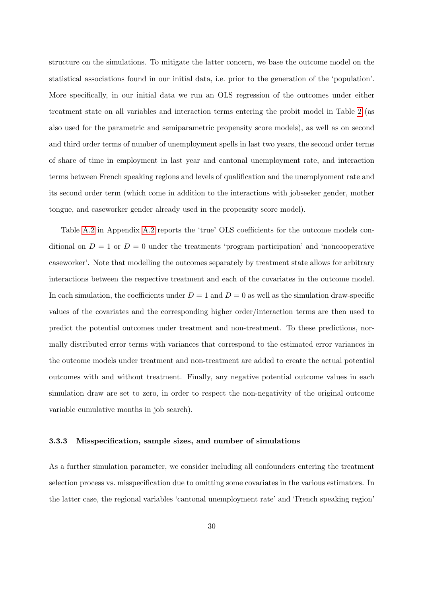structure on the simulations. To mitigate the latter concern, we base the outcome model on the statistical associations found in our initial data, i.e. prior to the generation of the 'population'. More specifically, in our initial data we run an OLS regression of the outcomes under either treatment state on all variables and interaction terms entering the probit model in Table [2](#page-29-0) (as also used for the parametric and semiparametric propensity score models), as well as on second and third order terms of number of unemployment spells in last two years, the second order terms of share of time in employment in last year and cantonal unemployment rate, and interaction terms between French speaking regions and levels of qualification and the unemplyoment rate and its second order term (which come in addition to the interactions with jobseeker gender, mother tongue, and caseworker gender already used in the propensity score model).

Table [A.2](#page-54-0) in Appendix [A.2](#page-51-1) reports the 'true' OLS coefficients for the outcome models conditional on  $D = 1$  or  $D = 0$  under the treatments 'program participation' and 'noncooperative caseworker'. Note that modelling the outcomes separately by treatment state allows for arbitrary interactions between the respective treatment and each of the covariates in the outcome model. In each simulation, the coefficients under  $D = 1$  and  $D = 0$  as well as the simulation draw-specific values of the covariates and the corresponding higher order/interaction terms are then used to predict the potential outcomes under treatment and non-treatment. To these predictions, normally distributed error terms with variances that correspond to the estimated error variances in the outcome models under treatment and non-treatment are added to create the actual potential outcomes with and without treatment. Finally, any negative potential outcome values in each simulation draw are set to zero, in order to respect the non-negativity of the original outcome variable cumulative months in job search).

#### 3.3.3 Misspecification, sample sizes, and number of simulations

As a further simulation parameter, we consider including all confounders entering the treatment selection process vs. misspecification due to omitting some covariates in the various estimators. In the latter case, the regional variables 'cantonal unemployment rate' and 'French speaking region'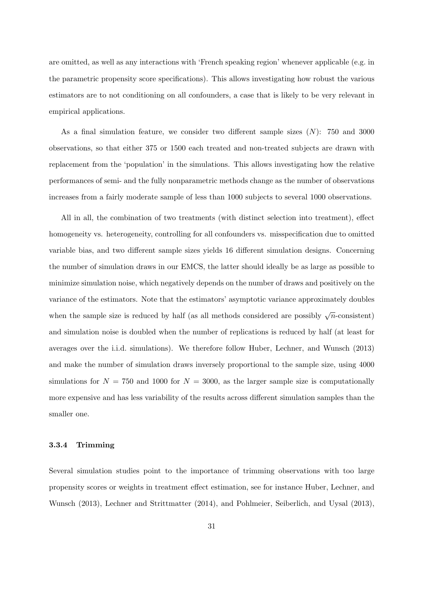are omitted, as well as any interactions with 'French speaking region' whenever applicable (e.g. in the parametric propensity score specifications). This allows investigating how robust the various estimators are to not conditioning on all confounders, a case that is likely to be very relevant in empirical applications.

As a final simulation feature, we consider two different sample sizes  $(N)$ : 750 and 3000 observations, so that either 375 or 1500 each treated and non-treated subjects are drawn with replacement from the 'population' in the simulations. This allows investigating how the relative performances of semi- and the fully nonparametric methods change as the number of observations increases from a fairly moderate sample of less than 1000 subjects to several 1000 observations.

All in all, the combination of two treatments (with distinct selection into treatment), effect homogeneity vs. heterogeneity, controlling for all confounders vs. misspecification due to omitted variable bias, and two different sample sizes yields 16 different simulation designs. Concerning the number of simulation draws in our EMCS, the latter should ideally be as large as possible to minimize simulation noise, which negatively depends on the number of draws and positively on the variance of the estimators. Note that the estimators' asymptotic variance approximately doubles when the sample size is reduced by half (as all methods considered are possibly  $\sqrt{n}$ -consistent) and simulation noise is doubled when the number of replications is reduced by half (at least for averages over the i.i.d. simulations). We therefore follow Huber, Lechner, and Wunsch (2013) and make the number of simulation draws inversely proportional to the sample size, using 4000 simulations for  $N = 750$  and 1000 for  $N = 3000$ , as the larger sample size is computationally more expensive and has less variability of the results across different simulation samples than the smaller one.

#### 3.3.4 Trimming

Several simulation studies point to the importance of trimming observations with too large propensity scores or weights in treatment effect estimation, see for instance Huber, Lechner, and Wunsch (2013), Lechner and Strittmatter (2014), and Pohlmeier, Seiberlich, and Uysal (2013),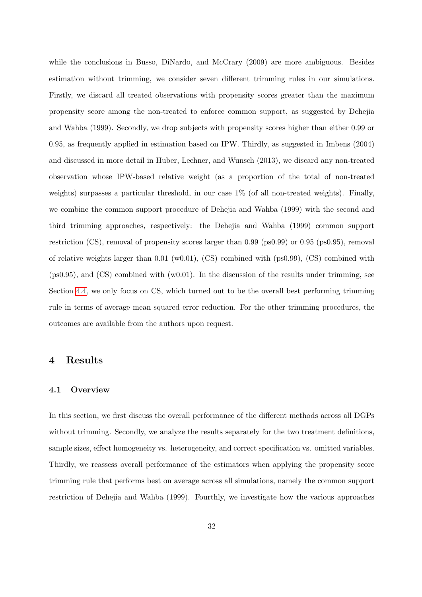while the conclusions in Busso, DiNardo, and McCrary (2009) are more ambiguous. Besides estimation without trimming, we consider seven different trimming rules in our simulations. Firstly, we discard all treated observations with propensity scores greater than the maximum propensity score among the non-treated to enforce common support, as suggested by Dehejia and Wahba (1999). Secondly, we drop subjects with propensity scores higher than either 0.99 or 0.95, as frequently applied in estimation based on IPW. Thirdly, as suggested in Imbens (2004) and discussed in more detail in Huber, Lechner, and Wunsch (2013), we discard any non-treated observation whose IPW-based relative weight (as a proportion of the total of non-treated weights) surpasses a particular threshold, in our case  $1\%$  (of all non-treated weights). Finally, we combine the common support procedure of Dehejia and Wahba (1999) with the second and third trimming approaches, respectively: the Dehejia and Wahba (1999) common support restriction (CS), removal of propensity scores larger than 0.99 (ps0.99) or 0.95 (ps0.95), removal of relative weights larger than  $0.01 \,(w0.01)$ ,  $(CS)$  combined with (ps0.99),  $(CS)$  combined with (ps0.95), and (CS) combined with (w0.01). In the discussion of the results under trimming, see Section [4.4,](#page-41-0) we only focus on CS, which turned out to be the overall best performing trimming rule in terms of average mean squared error reduction. For the other trimming procedures, the outcomes are available from the authors upon request.

## <span id="page-34-0"></span>4 Results

#### 4.1 Overview

In this section, we first discuss the overall performance of the different methods across all DGPs without trimming. Secondly, we analyze the results separately for the two treatment definitions, sample sizes, effect homogeneity vs. heterogeneity, and correct specification vs. omitted variables. Thirdly, we reassess overall performance of the estimators when applying the propensity score trimming rule that performs best on average across all simulations, namely the common support restriction of Dehejia and Wahba (1999). Fourthly, we investigate how the various approaches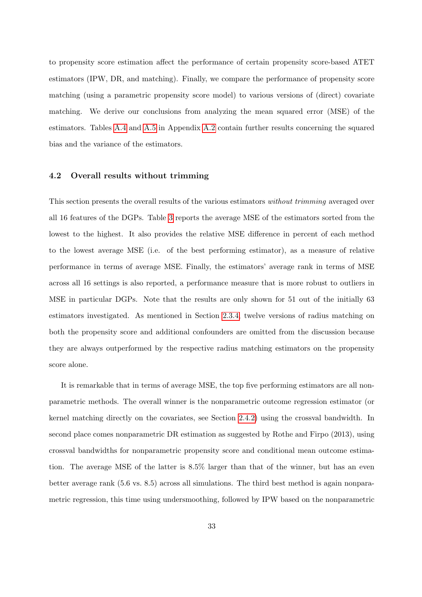to propensity score estimation affect the performance of certain propensity score-based ATET estimators (IPW, DR, and matching). Finally, we compare the performance of propensity score matching (using a parametric propensity score model) to various versions of (direct) covariate matching. We derive our conclusions from analyzing the mean squared error (MSE) of the estimators. Tables [A.4](#page-56-0) and [A.5](#page-57-0) in Appendix [A.2](#page-51-1) contain further results concerning the squared bias and the variance of the estimators.

### <span id="page-35-0"></span>4.2 Overall results without trimming

This section presents the overall results of the various estimators without trimming averaged over all 16 features of the DGPs. Table [3](#page-36-0) reports the average MSE of the estimators sorted from the lowest to the highest. It also provides the relative MSE difference in percent of each method to the lowest average MSE (i.e. of the best performing estimator), as a measure of relative performance in terms of average MSE. Finally, the estimators' average rank in terms of MSE across all 16 settings is also reported, a performance measure that is more robust to outliers in MSE in particular DGPs. Note that the results are only shown for 51 out of the initially 63 estimators investigated. As mentioned in Section [2.3.4,](#page-17-1) twelve versions of radius matching on both the propensity score and additional confounders are omitted from the discussion because they are always outperformed by the respective radius matching estimators on the propensity score alone.

It is remarkable that in terms of average MSE, the top five performing estimators are all nonparametric methods. The overall winner is the nonparametric outcome regression estimator (or kernel matching directly on the covariates, see Section [2.4.2\)](#page-23-0) using the crossval bandwidth. In second place comes nonparametric DR estimation as suggested by Rothe and Firpo (2013), using crossval bandwidths for nonparametric propensity score and conditional mean outcome estimation. The average MSE of the latter is 8.5% larger than that of the winner, but has an even better average rank (5.6 vs. 8.5) across all simulations. The third best method is again nonparametric regression, this time using undersmoothing, followed by IPW based on the nonparametric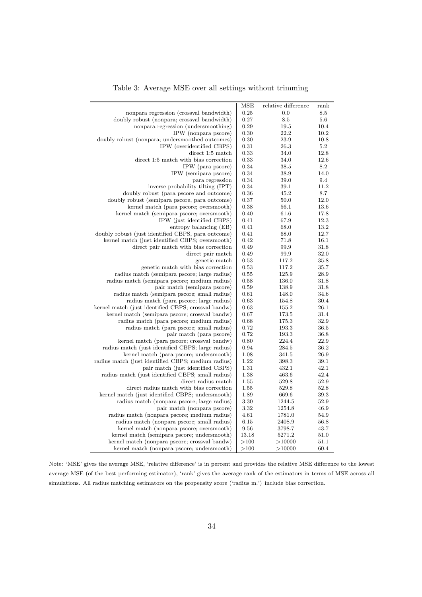<span id="page-36-0"></span>

|                                                     | $\overline{\text{MSE}}$ | relative difference | rank |
|-----------------------------------------------------|-------------------------|---------------------|------|
| nonpara regression (crossval bandwidth)             | 0.25                    | $\overline{0.0}$    | 8.5  |
| doubly robust (nonpara; crossval bandwidth)         | 0.27                    | 8.5                 | 5.6  |
| nonpara regression (undersmoothing)                 | 0.29                    | 19.5                | 10.4 |
| IPW (nonpara pscore)                                | 0.30                    | 22.2                | 10.2 |
| doubly robust (nonpara; undersmoothed outcomes)     | 0.30                    | 23.9                | 10.8 |
| IPW (overidentified CBPS)                           | 0.31                    | 26.3                | 5.2  |
| direct 1:5 match                                    | 0.33                    | 34.0                | 12.8 |
| direct 1:5 match with bias correction               | 0.33                    | 34.0                | 12.6 |
| IPW (para pscore)                                   | 0.34                    | 38.5                | 8.2  |
| IPW (semipara pscore)                               | 0.34                    | 38.9                | 14.0 |
| para regression                                     | 0.34                    | 39.0                | 9.4  |
| inverse probability tilting (IPT)                   | 0.34                    | 39.1                | 11.2 |
| doubly robust (para pscore and outcome)             | 0.36                    | 45.2                | 8.7  |
| doubly robust (semipara pscore, para outcome)       | 0.37                    | 50.0                | 12.0 |
| kernel match (para pscore; oversmooth)              | 0.38                    | 56.1                | 13.6 |
| kernel match (semipara pscore; oversmooth)          | 0.40                    | 61.6                | 17.8 |
| IPW (just identified CBPS)                          | 0.41                    | 67.9                | 12.3 |
| entropy balancing (EB)                              | 0.41                    | 68.0                | 13.2 |
| doubly robust (just identified CBPS, para outcome)  | 0.41                    | 68.0                | 12.7 |
| kernel match (just identified CBPS; oversmooth)     | 0.42                    | 71.8                | 16.1 |
| direct pair match with bias correction              | 0.49                    | 99.9                | 31.8 |
| direct pair match                                   | 0.49                    | 99.9                | 32.0 |
| genetic match                                       | 0.53                    | 117.2               | 35.8 |
| genetic match with bias correction                  | 0.53                    | 117.2               | 35.7 |
| radius match (semipara pscore; large radius)        | 0.55                    | 125.9               | 28.9 |
| radius match (semipara pscore; medium radius)       | 0.58                    | 136.0               | 31.8 |
| pair match (semipara pscore)                        | 0.59                    | 138.9               | 31.8 |
| radius match (semipara pscore; small radius)        | 0.61                    | 148.0               | 34.6 |
| radius match (para pscore; large radius)            | 0.63                    | 154.8               | 30.4 |
| kernel match (just identified CBPS; crossval bandw) | 0.63                    | 155.2               | 26.1 |
| kernel match (semipara pscore; crossval bandw)      | 0.67                    | 173.5               | 31.4 |
| radius match (para pscore; medium radius)           | 0.68                    | 175.3               | 32.9 |
| radius match (para pscore; small radius)            | 0.72                    | 193.3               | 36.5 |
| pair match (para pscore)                            | 0.72                    | 193.3               | 36.8 |
| kernel match (para pscore; crossval bandw)          | 0.80                    | 224.4               | 22.9 |
| radius match (just identified CBPS; large radius)   | 0.94                    | 284.5               | 36.2 |
| kernel match (para pscore; undersmooth)             | 1.08                    | 341.5               | 26.9 |
| radius match (just identified CBPS; medium radius)  | 1.22                    | 398.3               | 39.1 |
| pair match (just identified CBPS)                   | 1.31                    | 432.1               | 42.1 |
| radius match (just identified CBPS; small radius)   | 1.38                    | 463.6               | 42.4 |
| direct radius match                                 | 1.55                    | 529.8               | 52.9 |
| direct radius match with bias correction            | 1.55                    | 529.8               | 52.8 |
| kernel match (just identified CBPS; undersmooth)    | 1.89                    | 669.6               | 39.3 |
| radius match (nonpara pscore; large radius)         | 3.30                    | 1244.5              | 52.9 |
| pair match (nonpara pscore)                         | 3.32                    | 1254.8              | 46.9 |
| radius match (nonpara pscore; medium radius)        | 4.61                    | 1781.0              | 54.9 |
| radius match (nonpara pscore; small radius)         | 6.15                    | 2408.9              | 56.8 |
| kernel match (nonpara pscore; oversmooth)           | 9.56                    | 3798.7              | 43.7 |
| kernel match (semipara pscore; undersmooth)         | 13.18                   | 5271.2              | 51.0 |
| kernel match (nonpara pscore; crossval bandw)       | >100                    | >10000              | 51.1 |
| kernel match (nonpara pscore; undersmooth)          | >100                    | >10000              | 60.4 |

Table 3: Average MSE over all settings without trimming

Note: 'MSE' gives the average MSE, 'relative difference' is in percent and provides the relative MSE difference to the lowest average MSE (of the best performing estimator), 'rank' gives the average rank of the estimators in terms of MSE across all simulations. All radius matching estimators on the propensity score ('radius m.') include bias correction.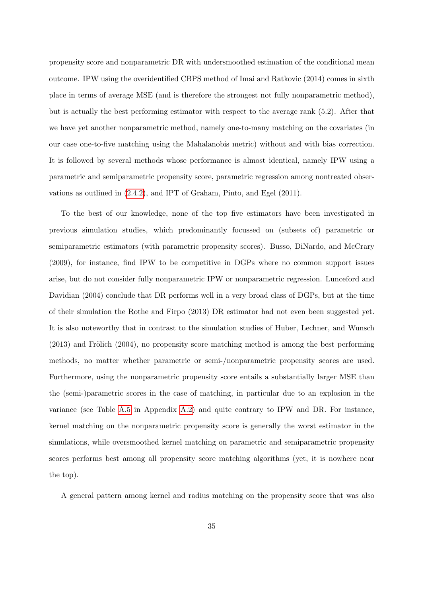propensity score and nonparametric DR with undersmoothed estimation of the conditional mean outcome. IPW using the overidentified CBPS method of Imai and Ratkovic (2014) comes in sixth place in terms of average MSE (and is therefore the strongest not fully nonparametric method), but is actually the best performing estimator with respect to the average rank (5.2). After that we have yet another nonparametric method, namely one-to-many matching on the covariates (in our case one-to-five matching using the Mahalanobis metric) without and with bias correction. It is followed by several methods whose performance is almost identical, namely IPW using a parametric and semiparametric propensity score, parametric regression among nontreated observations as outlined in [\(2.4.2\)](#page-23-0), and IPT of Graham, Pinto, and Egel (2011).

To the best of our knowledge, none of the top five estimators have been investigated in previous simulation studies, which predominantly focussed on (subsets of) parametric or semiparametric estimators (with parametric propensity scores). Busso, DiNardo, and McCrary (2009), for instance, find IPW to be competitive in DGPs where no common support issues arise, but do not consider fully nonparametric IPW or nonparametric regression. Lunceford and Davidian (2004) conclude that DR performs well in a very broad class of DGPs, but at the time of their simulation the Rothe and Firpo (2013) DR estimator had not even been suggested yet. It is also noteworthy that in contrast to the simulation studies of Huber, Lechner, and Wunsch  $(2013)$  and Frölich  $(2004)$ , no propensity score matching method is among the best performing methods, no matter whether parametric or semi-/nonparametric propensity scores are used. Furthermore, using the nonparametric propensity score entails a substantially larger MSE than the (semi-)parametric scores in the case of matching, in particular due to an explosion in the variance (see Table [A.5](#page-57-0) in Appendix [A.2\)](#page-51-1) and quite contrary to IPW and DR. For instance, kernel matching on the nonparametric propensity score is generally the worst estimator in the simulations, while oversmoothed kernel matching on parametric and semiparametric propensity scores performs best among all propensity score matching algorithms (yet, it is nowhere near the top).

A general pattern among kernel and radius matching on the propensity score that was also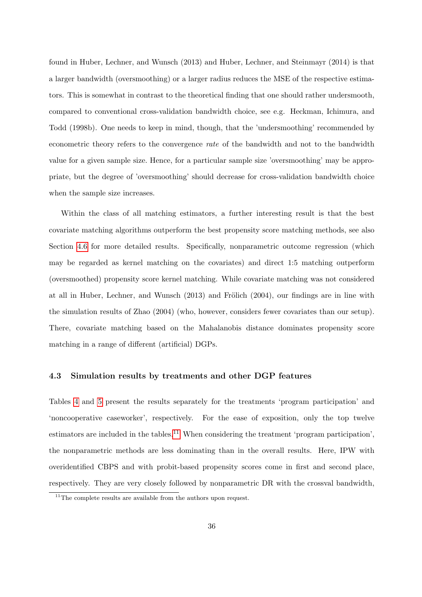found in Huber, Lechner, and Wunsch (2013) and Huber, Lechner, and Steinmayr (2014) is that a larger bandwidth (oversmoothing) or a larger radius reduces the MSE of the respective estimators. This is somewhat in contrast to the theoretical finding that one should rather undersmooth, compared to conventional cross-validation bandwidth choice, see e.g. Heckman, Ichimura, and Todd (1998b). One needs to keep in mind, though, that the 'undersmoothing' recommended by econometric theory refers to the convergence rate of the bandwidth and not to the bandwidth value for a given sample size. Hence, for a particular sample size 'oversmoothing' may be appropriate, but the degree of 'oversmoothing' should decrease for cross-validation bandwidth choice when the sample size increases.

Within the class of all matching estimators, a further interesting result is that the best covariate matching algorithms outperform the best propensity score matching methods, see also Section [4.6](#page-45-0) for more detailed results. Specifically, nonparametric outcome regression (which may be regarded as kernel matching on the covariates) and direct 1:5 matching outperform (oversmoothed) propensity score kernel matching. While covariate matching was not considered at all in Huber, Lechner, and Wunsch  $(2013)$  and Frölich  $(2004)$ , our findings are in line with the simulation results of Zhao (2004) (who, however, considers fewer covariates than our setup). There, covariate matching based on the Mahalanobis distance dominates propensity score matching in a range of different (artificial) DGPs.

### 4.3 Simulation results by treatments and other DGP features

Tables [4](#page-39-0) and [5](#page-40-0) present the results separately for the treatments 'program participation' and 'noncooperative caseworker', respectively. For the ease of exposition, only the top twelve estimators are included in the tables.<sup>[11](#page--1-0)</sup> When considering the treatment 'program participation', the nonparametric methods are less dominating than in the overall results. Here, IPW with overidentified CBPS and with probit-based propensity scores come in first and second place, respectively. They are very closely followed by nonparametric DR with the crossval bandwidth,

 $11$ <sup>11</sup>The complete results are available from the authors upon request.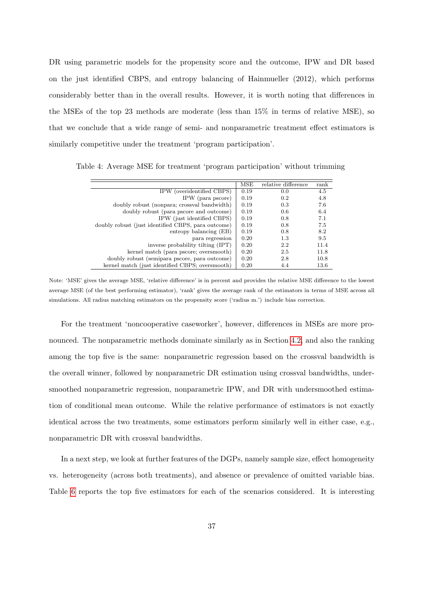DR using parametric models for the propensity score and the outcome, IPW and DR based on the just identified CBPS, and entropy balancing of Hainmueller (2012), which performs considerably better than in the overall results. However, it is worth noting that differences in the MSEs of the top 23 methods are moderate (less than 15% in terms of relative MSE), so that we conclude that a wide range of semi- and nonparametric treatment effect estimators is similarly competitive under the treatment 'program participation'.

<span id="page-39-0"></span>Table 4: Average MSE for treatment 'program participation' without trimming

|                                                    | MSE  | relative difference | rank |
|----------------------------------------------------|------|---------------------|------|
| IPW (overidentified CBPS)                          | 0.19 | 0.0                 | 4.5  |
| IPW (para pscore)                                  | 0.19 | 0.2                 | 4.8  |
| doubly robust (nonpara; crossval bandwidth)        | 0.19 | 0.3                 | 7.6  |
| doubly robust (para pscore and outcome)            | 0.19 | 0.6                 | 6.4  |
| IPW (just identified CBPS)                         | 0.19 | 0.8                 | 7.1  |
| doubly robust (just identified CBPS, para outcome) | 0.19 | 0.8                 | 7.5  |
| entropy balancing (EB)                             | 0.19 | 0.8                 | 8.2  |
| para regression                                    | 0.20 | 1.3                 | 9.5  |
| inverse probability tilting (IPT)                  | 0.20 | 2.2                 | 11.4 |
| kernel match (para pscore; oversmooth)             | 0.20 | 2.5                 | 11.8 |
| doubly robust (semipara pscore, para outcome)      | 0.20 | 2.8                 | 10.8 |
| kernel match (just identified CBPS; oversmooth)    | 0.20 | 4.4                 | 13.6 |

Note: 'MSE' gives the average MSE, 'relative difference' is in percent and provides the relative MSE difference to the lowest average MSE (of the best performing estimator), 'rank' gives the average rank of the estimators in terms of MSE across all simulations. All radius matching estimators on the propensity score ('radius m.') include bias correction.

For the treatment 'noncooperative caseworker', however, differences in MSEs are more pronounced. The nonparametric methods dominate similarly as in Section [4.2,](#page-35-0) and also the ranking among the top five is the same: nonparametric regression based on the crossval bandwidth is the overall winner, followed by nonparametric DR estimation using crossval bandwidths, undersmoothed nonparametric regression, nonparametric IPW, and DR with undersmoothed estimation of conditional mean outcome. While the relative performance of estimators is not exactly identical across the two treatments, some estimators perform similarly well in either case, e.g., nonparametric DR with crossval bandwidths.

In a next step, we look at further features of the DGPs, namely sample size, effect homogeneity vs. heterogeneity (across both treatments), and absence or prevalence of omitted variable bias. Table [6](#page-41-1) reports the top five estimators for each of the scenarios considered. It is interesting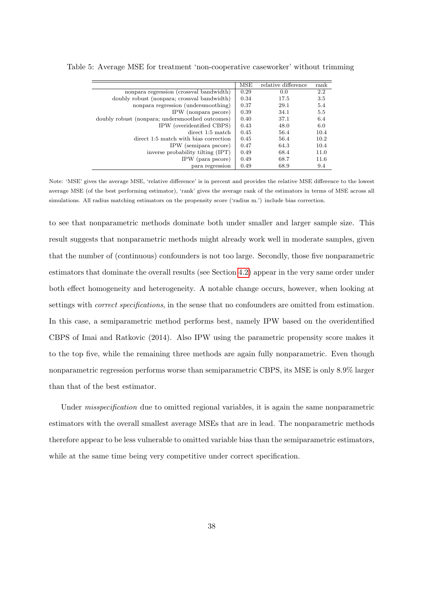|                                                 | MSE  | relative difference | rank |
|-------------------------------------------------|------|---------------------|------|
| nonpara regression (crossval bandwidth)         | 0.29 | 0.0                 | 2.2  |
| doubly robust (nonpara; crossval bandwidth)     | 0.34 | 17.5                | 3.5  |
| nonpara regression (undersmoothing)             | 0.37 | 29.1                | 5.4  |
| IPW (nonpara pscore)                            | 0.39 | 34.1                | 5.5  |
| doubly robust (nonpara; undersmoothed outcomes) | 0.40 | 37.1                | 6.4  |
| IPW (overidentified CBPS)                       | 0.43 | 48.0                | 6.0  |
| direct 1:5 match                                | 0.45 | 56.4                | 10.4 |
| direct 1:5 match with bias correction           | 0.45 | 56.4                | 10.2 |
| IPW (semipara pscore)                           | 0.47 | 64.3                | 10.4 |
| inverse probability tilting (IPT)               | 0.49 | 68.4                | 11.0 |
| IPW (para pscore)                               | 0.49 | 68.7                | 11.6 |
| para regression                                 | 0.49 | 68.9                | 9.4  |

<span id="page-40-0"></span>Table 5: Average MSE for treatment 'non-cooperative caseworker' without trimming

Note: 'MSE' gives the average MSE, 'relative difference' is in percent and provides the relative MSE difference to the lowest average MSE (of the best performing estimator), 'rank' gives the average rank of the estimators in terms of MSE across all simulations. All radius matching estimators on the propensity score ('radius m.') include bias correction.

to see that nonparametric methods dominate both under smaller and larger sample size. This result suggests that nonparametric methods might already work well in moderate samples, given that the number of (continuous) confounders is not too large. Secondly, those five nonparametric estimators that dominate the overall results (see Section [4.2\)](#page-35-0) appear in the very same order under both effect homogeneity and heterogeneity. A notable change occurs, however, when looking at settings with *correct specifications*, in the sense that no confounders are omitted from estimation. In this case, a semiparametric method performs best, namely IPW based on the overidentified CBPS of Imai and Ratkovic (2014). Also IPW using the parametric propensity score makes it to the top five, while the remaining three methods are again fully nonparametric. Even though nonparametric regression performs worse than semiparametric CBPS, its MSE is only 8.9% larger than that of the best estimator.

Under *misspecification* due to omitted regional variables, it is again the same nonparametric estimators with the overall smallest average MSEs that are in lead. The nonparametric methods therefore appear to be less vulnerable to omitted variable bias than the semiparametric estimators, while at the same time being very competitive under correct specification.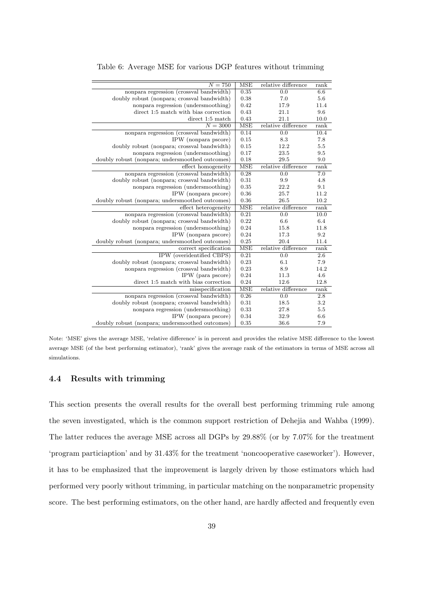| $N = 750$                                       | <b>MSE</b> | relative difference | rank |
|-------------------------------------------------|------------|---------------------|------|
| nonpara regression (crossval bandwidth)         | 0.35       | 0.0                 | 6.6  |
| doubly robust (nonpara; crossval bandwidth)     | 0.38       | 7.0                 | 5.6  |
| nonpara regression (undersmoothing)             | 0.42       | 17.9                | 11.4 |
| direct 1:5 match with bias correction           | 0.43       | 21.1                | 9.6  |
| direct 1:5 match                                | 0.43       | 21.1                | 10.0 |
| $N = 3000$                                      | <b>MSE</b> | relative difference | rank |
| nonpara regression (crossval bandwidth)         | 0.14       | 0.0                 | 10.4 |
| IPW (nonpara pscore)                            | 0.15       | 8.3                 | 7.8  |
| doubly robust (nonpara; crossval bandwidth)     | 0.15       | 12.2                | 5.5  |
| nonpara regression (undersmoothing)             | 0.17       | 23.5                | 9.5  |
| doubly robust (nonpara; undersmoothed outcomes) | 0.18       | 29.5                | 9.0  |
| effect homogeneity                              | <b>MSE</b> | relative difference | rank |
| nonpara regression (crossval bandwidth)         | 0.28       | 0.0                 | 7.0  |
| doubly robust (nonpara; crossval bandwidth)     | 0.31       | 9.9                 | 4.8  |
| nonpara regression (undersmoothing)             | 0.35       | 22.2                | 9.1  |
| IPW (nonpara pscore)                            | 0.36       | 25.7                | 11.2 |
| doubly robust (nonpara; undersmoothed outcomes) | 0.36       | 26.5                | 10.2 |
| effect heterogeneity                            | <b>MSE</b> | relative difference | rank |
| nonpara regression (crossval bandwidth)         | 0.21       | 0.0                 | 10.0 |
| doubly robust (nonpara; crossval bandwidth)     | 0.22       | 6.6                 | 6.4  |
| nonpara regression (undersmoothing)             | 0.24       | 15.8                | 11.8 |
| IPW (nonpara pscore)                            | 0.24       | 17.3                | 9.2  |
| doubly robust (nonpara; undersmoothed outcomes) | 0.25       | 20.4                | 11.4 |
| correct specification                           | <b>MSE</b> | relative difference | rank |
| IPW (overidentified CBPS)                       | 0.21       | 0.0                 | 2.6  |
| doubly robust (nonpara; crossval bandwidth)     | 0.23       | 6.1                 | 7.9  |
| nonpara regression (crossval bandwidth)         | 0.23       | 8.9                 | 14.2 |
| IPW (para pscore)                               | 0.24       | 11.3                | 4.6  |
| direct 1:5 match with bias correction           | 0.24       | 12.6                | 12.8 |
| misspecification                                | <b>MSE</b> | relative difference | rank |
| nonpara regression (crossval bandwidth)         | 0.26       | 0.0                 | 2.8  |
| doubly robust (nonpara; crossval bandwidth)     | 0.31       | 18.5                | 3.2  |
| nonpara regression (undersmoothing)             | 0.33       | 27.8                | 5.5  |
| IPW (nonpara pscore)                            | 0.34       | 32.9                | 6.6  |
| doubly robust (nonpara; undersmoothed outcomes) | 0.35       | 36.6                | 7.9  |

<span id="page-41-1"></span>Table 6: Average MSE for various DGP features without trimming

Note: 'MSE' gives the average MSE, 'relative difference' is in percent and provides the relative MSE difference to the lowest average MSE (of the best performing estimator), 'rank' gives the average rank of the estimators in terms of MSE across all simulations.

### <span id="page-41-0"></span>4.4 Results with trimming

This section presents the overall results for the overall best performing trimming rule among the seven investigated, which is the common support restriction of Dehejia and Wahba (1999). The latter reduces the average MSE across all DGPs by 29.88% (or by 7.07% for the treatment 'program particiaption' and by 31.43% for the treatment 'noncooperative caseworker'). However, it has to be emphasized that the improvement is largely driven by those estimators which had performed very poorly without trimming, in particular matching on the nonparametric propensity score. The best performing estimators, on the other hand, are hardly affected and frequently even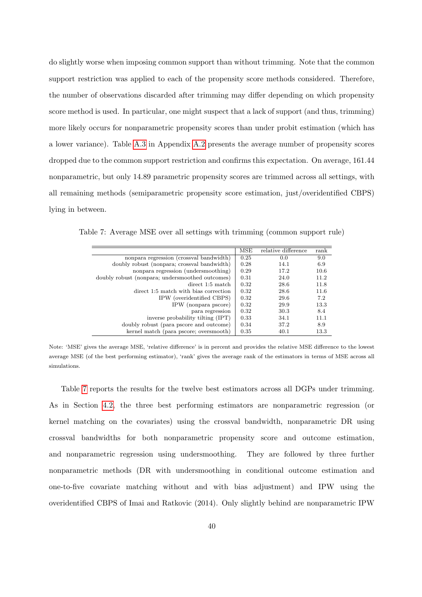do slightly worse when imposing common support than without trimming. Note that the common support restriction was applied to each of the propensity score methods considered. Therefore, the number of observations discarded after trimming may differ depending on which propensity score method is used. In particular, one might suspect that a lack of support (and thus, trimming) more likely occurs for nonparametric propensity scores than under probit estimation (which has a lower variance). Table [A.3](#page-55-0) in Appendix [A.2](#page-51-1) presents the average number of propensity scores dropped due to the common support restriction and confirms this expectation. On average, 161.44 nonparametric, but only 14.89 parametric propensity scores are trimmed across all settings, with all remaining methods (semiparametric propensity score estimation, just/overidentified CBPS) lying in between.

<span id="page-42-0"></span>Table 7: Average MSE over all settings with trimming (common support rule)

|                                                 | MSE  | relative difference | rank |
|-------------------------------------------------|------|---------------------|------|
| nonpara regression (crossval bandwidth)         | 0.25 | 0.0                 | 9.0  |
| doubly robust (nonpara; crossval bandwidth)     | 0.28 | 14.1                | 6.9  |
| nonpara regression (undersmoothing)             | 0.29 | 17.2                | 10.6 |
| doubly robust (nonpara; undersmoothed outcomes) | 0.31 | 24.0                | 11.2 |
| direct 1:5 match                                | 0.32 | 28.6                | 11.8 |
| direct 1:5 match with bias correction           | 0.32 | 28.6                | 11.6 |
| IPW (overidentified CBPS)                       | 0.32 | 29.6                | 7.2  |
| IPW (nonpara pscore)                            | 0.32 | 29.9                | 13.3 |
| para regression                                 | 0.32 | 30.3                | 8.4  |
| inverse probability tilting (IPT)               | 0.33 | 34.1                | 11.1 |
| doubly robust (para pscore and outcome)         | 0.34 | 37.2                | 8.9  |
| kernel match (para pscore; oversmooth)          | 0.35 | 40.1                | 13.3 |

Note: 'MSE' gives the average MSE, 'relative difference' is in percent and provides the relative MSE difference to the lowest average MSE (of the best performing estimator), 'rank' gives the average rank of the estimators in terms of MSE across all simulations.

Table [7](#page-42-0) reports the results for the twelve best estimators across all DGPs under trimming. As in Section [4.2,](#page-35-0) the three best performing estimators are nonparametric regression (or kernel matching on the covariates) using the crossval bandwidth, nonparametric DR using crossval bandwidths for both nonparametric propensity score and outcome estimation, and nonparametric regression using undersmoothing. They are followed by three further nonparametric methods (DR with undersmoothing in conditional outcome estimation and one-to-five covariate matching without and with bias adjustment) and IPW using the overidentified CBPS of Imai and Ratkovic (2014). Only slightly behind are nonparametric IPW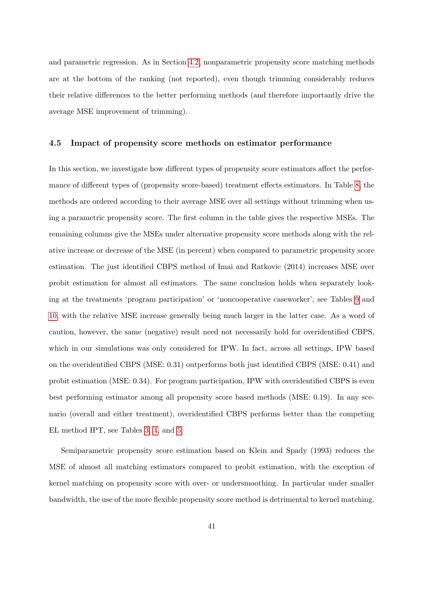and parametric regression. As in Section [4.2,](#page-35-0) nonparametric propensity score matching methods are at the bottom of the ranking (not reported), even though trimming considerably reduces their relative differences to the better performing methods (and therefore importantly drive the average MSE improvement of trimming).

#### 4.5 Impact of propensity score methods on estimator performance

In this section, we investigate how different types of propensity score estimators affect the performance of different types of (propensity score-based) treatment effects estimators. In Table [8,](#page-44-0) the methods are ordered according to their average MSE over all settings without trimming when using a parametric propensity score. The first column in the table gives the respective MSEs. The remaining columns give the MSEs under alternative propensity score methods along with the relative increase or decrease of the MSE (in percent) when compared to parametric propensity score estimation. The just identified CBPS method of Imai and Ratkovic (2014) increases MSE over probit estimation for almost all estimators. The same conclusion holds when separately looking at the treatments 'program participation' or 'noncooperative caseworker', see Tables [9](#page-45-1) and [10,](#page-46-0) with the relative MSE increase generally being much larger in the latter case. As a word of caution, however, the same (negative) result need not necessarily hold for overidentified CBPS, which in our simulations was only considered for IPW. In fact, across all settings, IPW based on the overidentified CBPS (MSE: 0.31) outperforms both just identified CBPS (MSE: 0.41) and probit estimation (MSE: 0.34). For program participation, IPW with overidentified CBPS is even best performing estimator among all propensity score based methods (MSE: 0.19). In any scenario (overall and either treatment), overidentified CBPS performs better than the competing EL method IPT, see Tables [3,](#page-36-0) [4,](#page-39-0) and [5.](#page-40-0)

Semiparametric propensity score estimation based on Klein and Spady (1993) reduces the MSE of almost all matching estimators compared to probit estimation, with the exception of kernel matching on propensity score with over- or undersmoothing. In particular under smaller bandwidth, the use of the more flexible propensity score method is detrimental to kernel matching.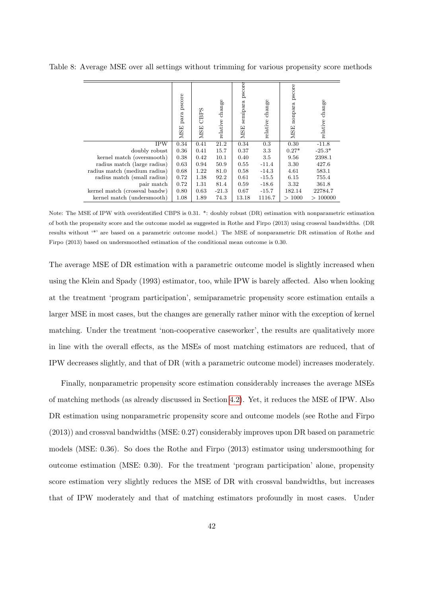|                               | pscore<br>para<br><b>MSE</b> | CBPS<br><b>MSE</b> | relative change | pscore<br>semipara<br><b>MSE</b> | change<br>relative | pscore<br>nonpara<br><b>MSE</b> | relative change |
|-------------------------------|------------------------------|--------------------|-----------------|----------------------------------|--------------------|---------------------------------|-----------------|
| <b>IPW</b>                    | 0.34                         | 0.41               | 21.2            | 0.34                             | 0.3                | 0.30                            | $-11.8$         |
| doubly robust                 | 0.36                         | 0.41               | 15.7            | 0.37                             | 3.3                | $0.27*$                         | $-25.3*$        |
| kernel match (oversmooth)     | 0.38                         | 0.42               | 10.1            | 0.40                             | 3.5                | 9.56                            | 2398.1          |
| radius match (large radius)   | 0.63                         | 0.94               | 50.9            | 0.55                             | $-11.4$            | 3.30                            | 427.6           |
| radius match (medium radius)  | 0.68                         | 1.22               | 81.0            | 0.58                             | $-14.3$            | 4.61                            | 583.1           |
| radius match (small radius)   | 0.72                         | 1.38               | 92.2            | 0.61                             | $-15.5$            | 6.15                            | 755.4           |
| pair match                    | 0.72                         | 1.31               | 81.4            | 0.59                             | $-18.6$            | 3.32                            | 361.8           |
| kernel match (crossval bandw) | 0.80                         | 0.63               | $-21.3$         | 0.67                             | $-15.7$            | 182.14                          | 22784.7         |
| kernel match (undersmooth)    | 1.08                         | 1.89               | 74.3            | 13.18                            | 1116.7             | >1000                           | >100000         |

<span id="page-44-0"></span>Table 8: Average MSE over all settings without trimming for various propensity score methods

Note: The MSE of IPW with overidentified CBPS is 0.31. \*: doubly robust (DR) estimation with nonparametric estimation of both the propensity score and the outcome model as suggested in Rothe and Firpo (2013) using crossval bandwidths. (DR results without '\*' are based on a parametric outcome model.) The MSE of nonparametric DR estimation of Rothe and Firpo (2013) based on undersmoothed estimation of the conditional mean outcome is 0.30.

The average MSE of DR estimation with a parametric outcome model is slightly increased when using the Klein and Spady (1993) estimator, too, while IPW is barely affected. Also when looking at the treatment 'program participation', semiparametric propensity score estimation entails a larger MSE in most cases, but the changes are generally rather minor with the exception of kernel matching. Under the treatment 'non-cooperative caseworker', the results are qualitatively more in line with the overall effects, as the MSEs of most matching estimators are reduced, that of IPW decreases slightly, and that of DR (with a parametric outcome model) increases moderately.

Finally, nonparametric propensity score estimation considerably increases the average MSEs of matching methods (as already discussed in Section [4.2\)](#page-35-0). Yet, it reduces the MSE of IPW. Also DR estimation using nonparametric propensity score and outcome models (see Rothe and Firpo (2013)) and crossval bandwidths (MSE: 0.27) considerably improves upon DR based on parametric models (MSE: 0.36). So does the Rothe and Firpo (2013) estimator using undersmoothing for outcome estimation (MSE: 0.30). For the treatment 'program participation' alone, propensity score estimation very slightly reduces the MSE of DR with crossval bandwidths, but increases that of IPW moderately and that of matching estimators profoundly in most cases. Under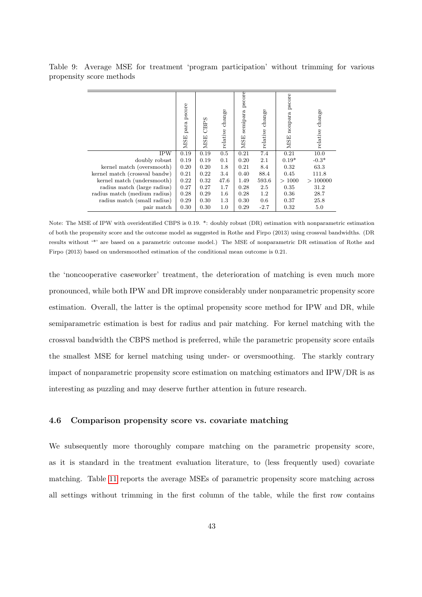<span id="page-45-1"></span>Table 9: Average MSE for treatment 'program participation' without trimming for various propensity score methods

|                               | para pscore<br><b>MSE</b> | CBPS<br><b>MSE</b> | change<br>relative | pscore<br>semipara<br><b>MSE</b> | change<br>relative | pscore<br>nonpara<br><b>MSE</b> | relative change |
|-------------------------------|---------------------------|--------------------|--------------------|----------------------------------|--------------------|---------------------------------|-----------------|
| <b>IPW</b>                    | 0.19                      | 0.19               | 0.5                | 0.21                             | 7.4                | 0.21                            | 10.0            |
| doubly robust                 | 0.19                      | 0.19               | 0.1                | 0.20                             | 2.1                | $0.19*$                         | $-0.3*$         |
| kernel match (oversmooth)     | 0.20                      | 0.20               | 1.8                | 0.21                             | 8.4                | 0.32                            | 63.3            |
| kernel match (crossval bandw) | 0.21                      | 0.22               | 3.4                | 0.40                             | 88.4               | 0.45                            | 111.8           |
| kernel match (undersmooth)    | 0.22                      | 0.32               | 47.6               | 1.49                             | 593.6              | >1000                           | >100000         |
| radius match (large radius)   | 0.27                      | 0.27               | 1.7                | 0.28                             | 2.5                | 0.35                            | 31.2            |
| radius match (medium radius)  | 0.28                      | 0.29               | 1.6                | 0.28                             | $1.2\,$            | 0.36                            | 28.7            |
| radius match (small radius)   | 0.29                      | 0.30               | 1.3                | 0.30                             | $0.6\,$            | 0.37                            | 25.8            |
| pair match                    | 0.30                      | 0.30               | 1.0                | 0.29                             | $-2.7$             | 0.32                            | 5.0             |

Note: The MSE of IPW with overidentified CBPS is 0.19. \*: doubly robust (DR) estimation with nonparametric estimation of both the propensity score and the outcome model as suggested in Rothe and Firpo (2013) using crossval bandwidths. (DR results without '\*' are based on a parametric outcome model.) The MSE of nonparametric DR estimation of Rothe and Firpo (2013) based on undersmoothed estimation of the conditional mean outcome is 0.21.

the 'noncooperative caseworker' treatment, the deterioration of matching is even much more pronounced, while both IPW and DR improve considerably under nonparametric propensity score estimation. Overall, the latter is the optimal propensity score method for IPW and DR, while semiparametric estimation is best for radius and pair matching. For kernel matching with the crossval bandwidth the CBPS method is preferred, while the parametric propensity score entails the smallest MSE for kernel matching using under- or oversmoothing. The starkly contrary impact of nonparametric propensity score estimation on matching estimators and IPW/DR is as interesting as puzzling and may deserve further attention in future research.

#### <span id="page-45-0"></span>4.6 Comparison propensity score vs. covariate matching

We subsequently more thoroughly compare matching on the parametric propensity score, as it is standard in the treatment evaluation literature, to (less frequently used) covariate matching. Table [11](#page-47-1) reports the average MSEs of parametric propensity score matching across all settings without trimming in the first column of the table, while the first row contains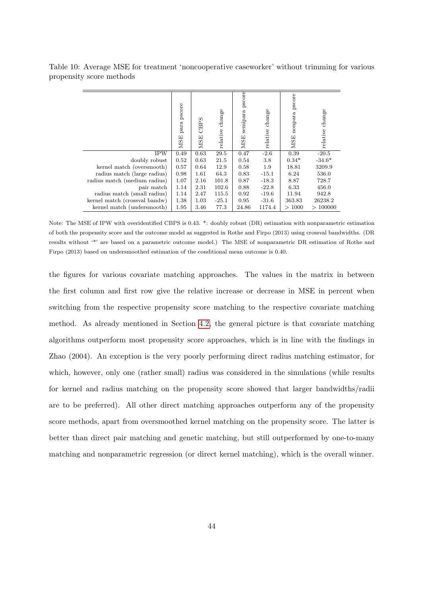<span id="page-46-0"></span>Table 10: Average MSE for treatment 'noncooperative caseworker' without trimming for various propensity score methods

|                               | pscore<br>para<br><b>MSE</b> | CBPS<br><b>MSE</b> | relative change | pscore<br>semipara<br><b>MSE</b> | change<br>relative | pscore<br>nonpara<br><b>MSE</b> | relative change |
|-------------------------------|------------------------------|--------------------|-----------------|----------------------------------|--------------------|---------------------------------|-----------------|
| <b>IPW</b>                    | 0.49                         | 0.63               | 29.5            | 0.47                             | $-2.6$             | 0.39                            | $-20.5$         |
| doubly robust                 | 0.52                         | 0.63               | 21.5            | 0.54                             | 3.8                | $0.34*$                         | $-34.6*$        |
| kernel match (oversmooth)     | 0.57                         | 0.64               | 12.9            | 0.58                             | 1.9                | 18.81                           | 3209.9          |
| radius match (large radius)   | 0.98                         | 1.61               | 64.3            | 0.83                             | $-15.1$            | 6.24                            | 536.0           |
| radius match (medium radius)  | 1.07                         | 2.16               | 101.8           | 0.87                             | $-18.3$            | 8.87                            | 728.7           |
| pair match                    | 1.14                         | 2.31               | 102.6           | 0.88                             | $-22.8$            | 6.33                            | 456.0           |
| radius match (small radius)   | 1.14                         | 2.47               | 115.5           | 0.92                             | $-19.6$            | 11.94                           | 942.8           |
| kernel match (crossval bandw) | 1.38                         | 1.03               | $-25.1$         | 0.95                             | $-31.6$            | 363.83                          | 26238.2         |
| kernel match (undersmooth)    | 1.95                         | 3.46               | 77.3            | 24.86                            | 1174.4             | >1000                           | >100000         |

Note: The MSE of IPW with overidentified CBPS is 0.43. \*: doubly robust (DR) estimation with nonparametric estimation of both the propensity score and the outcome model as suggested in Rothe and Firpo (2013) using crossval bandwidths. (DR results without '\*' are based on a parametric outcome model.) The MSE of nonparametric DR estimation of Rothe and Firpo (2013) based on undersmoothed estimation of the conditional mean outcome is 0.40.

the figures for various covariate matching approaches. The values in the matrix in between the first column and first row give the relative increase or decrease in MSE in percent when switching from the respective propensity score matching to the respective covariate matching method. As already mentioned in Section [4.2,](#page-35-0) the general picture is that covariate matching algorithms outperform most propensity score approaches, which is in line with the findings in Zhao (2004). An exception is the very poorly performing direct radius matching estimator, for which, however, only one (rather small) radius was considered in the simulations (while results for kernel and radius matching on the propensity score showed that larger bandwidths/radii are to be preferred). All other direct matching approaches outperform any of the propensity score methods, apart from oversmoothed kernel matching on the propensity score. The latter is better than direct pair matching and genetic matching, but still outperformed by one-to-many matching and nonparametric regression (or direct kernel matching), which is the overall winner.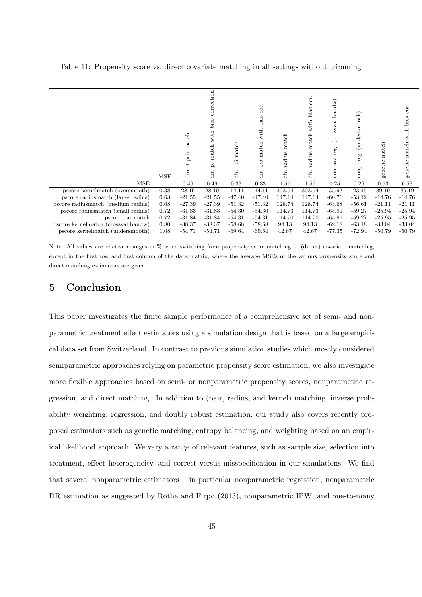<span id="page-47-1"></span>

| Table 11: Propensity score vs. direct covariate matching in all settings without trimming |  |  |  |  |
|-------------------------------------------------------------------------------------------|--|--|--|--|
|                                                                                           |  |  |  |  |

|                                     | MSE  | match<br>dir<br>≏<br>direct | ction<br>bias<br>with<br>atch<br>≏<br>ä | match<br>Ξ<br>dir. | cor.<br>bias<br>with<br>match<br>$\ddot{1}$<br>dir. | match<br>radius<br>dir. | cor.<br>bias<br>with<br>$% \left( \left( \mathbf{r}_{1},\mathbf{r}_{2},\mathbf{r}_{3},\mathbf{r}_{4},\mathbf{r}_{5},\mathbf{r}_{6},\mathbf{r}_{6},\mathbf{r}_{7},\mathbf{r}_{8},\mathbf{r}_{9}\right)$<br>radius<br>ä | bandw)<br>(crossval<br>reg.<br>nonpara | (undersmooth)<br>reg.<br>quo | match<br>genetic | cor.<br>bias<br>with<br>match<br>genetic |
|-------------------------------------|------|-----------------------------|-----------------------------------------|--------------------|-----------------------------------------------------|-------------------------|-----------------------------------------------------------------------------------------------------------------------------------------------------------------------------------------------------------------------|----------------------------------------|------------------------------|------------------|------------------------------------------|
| MSE                                 |      | 0.49                        | 0.49                                    | 0.33               | 0.33                                                | 1.55                    | 1.55                                                                                                                                                                                                                  | 0.25                                   | 0.29                         | 0.53             | 0.53                                     |
| pscore kernelmatch (oversmooth)     | 0.38 | 28.10                       | 28.10                                   | $-14.11$           | $-14.11$                                            | 303.54                  | 303.54                                                                                                                                                                                                                | $-35.93$                               | $-23.45$                     | 39.19            | 39.19                                    |
| pscore radius match (large radius)  | 0.63 | $-21.55$                    | $-21.55$                                | $-47.40$           | $-47.40$                                            | 147.14                  | 147.14                                                                                                                                                                                                                | $-60.76$                               | $-53.12$                     | $-14.76$         | $-14.76$                                 |
| pscore radiusmatch (medium radius)  | 0.68 | $-27.39$                    | $-27.39$                                | $-51.32$           | $-51.32$                                            | 128.74                  | 128.74                                                                                                                                                                                                                | $-63.68$                               | $-56.61$                     | $-21.11$         | $-21.11$                                 |
| pscore radiusmatch (small radius)   | 0.72 | $-31.83$                    | $-31.83$                                | $-54.30$           | $-54.30$                                            | 114.73                  | 114.73                                                                                                                                                                                                                | $-65.91$                               | $-59.27$                     | $-25.94$         | $-25.94$                                 |
| pscore pairmatch                    | 0.72 | $-31.84$                    | $-31.84$                                | $-54.31$           | $-54.31$                                            | 114.70                  | 114.70                                                                                                                                                                                                                | $-65.91$                               | $-59.27$                     | $-25.95$         | $-25.95$                                 |
| pscore kernelmatch (crossval bandw) | 0.80 | $-38.37$                    | $-38.37$                                | $-58.68$           | $-58.68$                                            | 94.13                   | 94.13                                                                                                                                                                                                                 | $-69.18$                               | $-63.18$                     | $-33.04$         | $-33.04$                                 |
| pscore kernelmatch (undersmooth)    | 1.08 | $-54.71$                    | $-54.71$                                | $-69.64$           | $-69.64$                                            | 42.67                   | 42.67                                                                                                                                                                                                                 | $-77.35$                               | $-72.94$                     | $-50.79$         | $-50.79$                                 |

Note: All values are relative changes in % when switching from propensity score matching to (direct) covariate matching, except in the first row and first column of the data matrix, where the average MSEs of the various propensity score and direct matching estimators are given.

## <span id="page-47-0"></span>5 Conclusion

This paper investigates the finite sample performance of a comprehensive set of semi- and nonparametric treatment effect estimators using a simulation design that is based on a large empirical data set from Switzerland. In contrast to previous simulation studies which mostly considered semiparametric approaches relying on parametric propensity score estimation, we also investigate more flexible approaches based on semi- or nonparametric propensity scores, nonparametric regression, and direct matching. In addition to (pair, radius, and kernel) matching, inverse probability weighting, regression, and doubly robust estimation, our study also covers recently proposed estimators such as genetic matching, entropy balancing, and weighting based on an empirical likelihood approach. We vary a range of relevant features, such as sample size, selection into treatment, effect heterogeneity, and correct versus misspecification in our simulations. We find that several nonparametric estimators – in particular nonparametric regression, nonparametric DR estimation as suggested by Rothe and Firpo (2013), nonparametric IPW, and one-to-many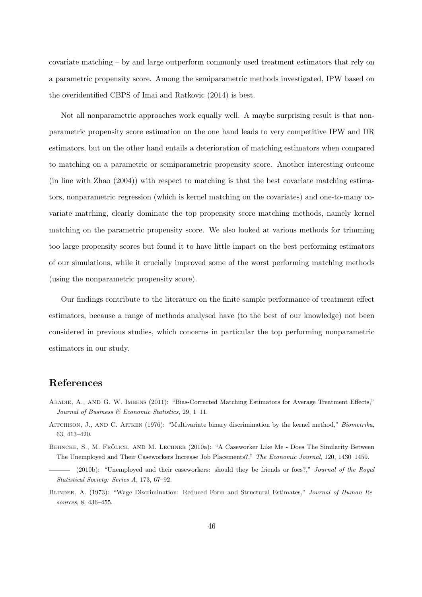covariate matching – by and large outperform commonly used treatment estimators that rely on a parametric propensity score. Among the semiparametric methods investigated, IPW based on the overidentified CBPS of Imai and Ratkovic (2014) is best.

Not all nonparametric approaches work equally well. A maybe surprising result is that nonparametric propensity score estimation on the one hand leads to very competitive IPW and DR estimators, but on the other hand entails a deterioration of matching estimators when compared to matching on a parametric or semiparametric propensity score. Another interesting outcome (in line with Zhao (2004)) with respect to matching is that the best covariate matching estimators, nonparametric regression (which is kernel matching on the covariates) and one-to-many covariate matching, clearly dominate the top propensity score matching methods, namely kernel matching on the parametric propensity score. We also looked at various methods for trimming too large propensity scores but found it to have little impact on the best performing estimators of our simulations, while it crucially improved some of the worst performing matching methods (using the nonparametric propensity score).

Our findings contribute to the literature on the finite sample performance of treatment effect estimators, because a range of methods analysed have (to the best of our knowledge) not been considered in previous studies, which concerns in particular the top performing nonparametric estimators in our study.

## References

- Abadie, A., and G. W. Imbens (2011): "Bias-Corrected Matching Estimators for Average Treatment Effects," Journal of Business & Economic Statistics, 29, 1–11.
- Aitchison, J., and C. Aitken (1976): "Multivariate binary discrimination by the kernel method," Biometrika, 63, 413–420.
- BEHNCKE, S., M. FRÖLICH, AND M. LECHNER (2010a): "A Caseworker Like Me Does The Similarity Between The Unemployed and Their Caseworkers Increase Job Placements?," The Economic Journal, 120, 1430–1459.
- (2010b): "Unemployed and their caseworkers: should they be friends or foes?," Journal of the Royal Statistical Society: Series A, 173, 67–92.
- Blinder, A. (1973): "Wage Discrimination: Reduced Form and Structural Estimates," Journal of Human Resources, 8, 436–455.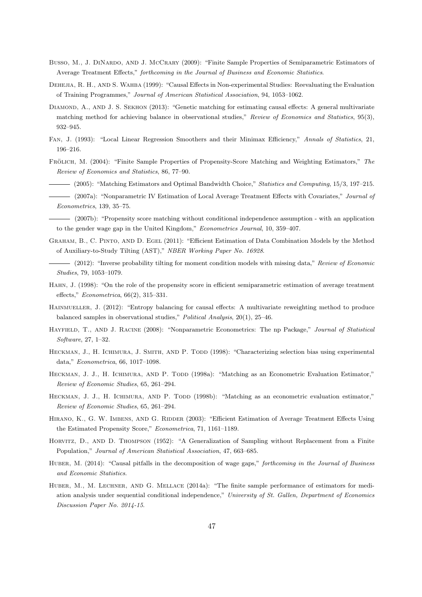- Busso, M., J. DINARDO, AND J. McCRARY (2009): "Finite Sample Properties of Semiparametric Estimators of Average Treatment Effects," forthcoming in the Journal of Business and Economic Statistics.
- DEHEJIA, R. H., AND S. WAHBA (1999): "Causal Effects in Non-experimental Studies: Reevaluating the Evaluation of Training Programmes," Journal of American Statistical Association, 94, 1053–1062.
- DIAMOND, A., AND J. S. SEKHON (2013): "Genetic matching for estimating causal effects: A general multivariate matching method for achieving balance in observational studies," Review of Economics and Statistics, 95(3), 932–945.
- Fan, J. (1993): "Local Linear Regression Smoothers and their Minimax Efficiency," Annals of Statistics, 21, 196–216.
- FRÖLICH, M. (2004): "Finite Sample Properties of Propensity-Score Matching and Weighting Estimators," The Review of Economics and Statistics, 86, 77–90.
	- (2005): "Matching Estimators and Optimal Bandwidth Choice," Statistics and Computing, 15/3, 197–215.
	- (2007a): "Nonparametric IV Estimation of Local Average Treatment Effects with Covariates," Journal of Econometrics, 139, 35–75.
- (2007b): "Propensity score matching without conditional independence assumption with an application to the gender wage gap in the United Kingdom," Econometrics Journal, 10, 359–407.
- Graham, B., C. Pinto, and D. Egel (2011): "Efficient Estimation of Data Combination Models by the Method of Auxiliary-to-Study Tilting (AST)," NBER Working Paper No. 16928.
- (2012): "Inverse probability tilting for moment condition models with missing data," Review of Economic Studies, 79, 1053–1079.
- Hahn, J. (1998): "On the role of the propensity score in efficient semiparametric estimation of average treatment effects," Econometrica, 66(2), 315–331.
- Hainmueller, J. (2012): "Entropy balancing for causal effects: A multivariate reweighting method to produce balanced samples in observational studies," Political Analysis, 20(1), 25–46.
- HAYFIELD, T., AND J. RACINE (2008): "Nonparametric Econometrics: The np Package," Journal of Statistical Software, 27, 1–32.
- HECKMAN, J., H. ICHIMURA, J. SMITH, AND P. TODD (1998): "Characterizing selection bias using experimental data," Econometrica, 66, 1017–1098.
- HECKMAN, J. J., H. ICHIMURA, AND P. TODD (1998a): "Matching as an Econometric Evaluation Estimator," Review of Economic Studies, 65, 261–294.
- HECKMAN, J. J., H. ICHIMURA, AND P. TODD (1998b): "Matching as an econometric evaluation estimator," Review of Economic Studies, 65, 261–294.
- HIRANO, K., G. W. IMBENS, AND G. RIDDER (2003): "Efficient Estimation of Average Treatment Effects Using the Estimated Propensity Score," Econometrica, 71, 1161–1189.
- HORVITZ, D., AND D. THOMPSON (1952): "A Generalization of Sampling without Replacement from a Finite Population," Journal of American Statistical Association, 47, 663–685.
- HUBER, M. (2014): "Causal pitfalls in the decomposition of wage gaps," forthcoming in the Journal of Business and Economic Statistics.
- HUBER, M., M. LECHNER, AND G. MELLACE (2014a): "The finite sample performance of estimators for mediation analysis under sequential conditional independence," University of St. Gallen, Department of Economics Discussion Paper No. 2014-15.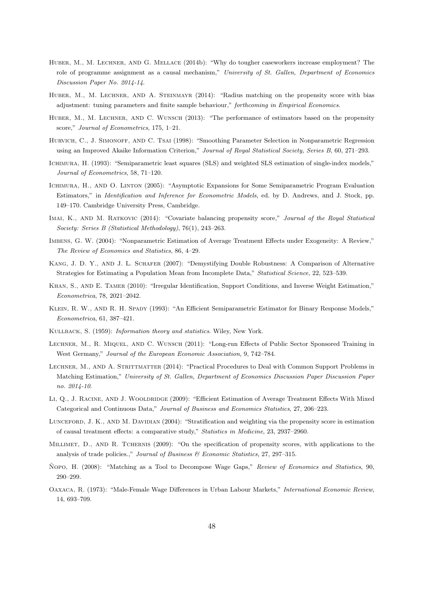- Huber, M., M. Lechner, and G. Mellace (2014b): "Why do tougher caseworkers increase employment? The role of programme assignment as a causal mechanism," University of St. Gallen, Department of Economics Discussion Paper No. 2014-14.
- HUBER, M., M. LECHNER, AND A. STEINMAYR (2014): "Radius matching on the propensity score with bias adjustment: tuning parameters and finite sample behaviour," forthcoming in Empirical Economics.
- HUBER, M., M. LECHNER, AND C. WUNSCH (2013): "The performance of estimators based on the propensity score," Journal of Econometrics, 175, 1-21.
- HURVICH, C., J. SIMONOFF, AND C. TSAI (1998): "Smoothing Parameter Selection in Nonparametric Regression using an Improved Akaike Information Criterion," Journal of Royal Statistical Society, Series B, 60, 271–293.
- Ichimura, H. (1993): "Semiparametric least squares (SLS) and weighted SLS estimation of single-index models," Journal of Econometrics, 58, 71–120.
- Ichimura, H., and O. Linton (2005): "Asymptotic Expansions for Some Semiparametric Program Evaluation Estimators," in Identification and Inference for Econometric Models, ed. by D. Andrews, and J. Stock, pp. 149–170. Cambridge University Press, Cambridge.
- Imai, K., and M. Ratkovic (2014): "Covariate balancing propensity score," Journal of the Royal Statistical Society: Series B (Statistical Methodology), 76(1), 243–263.
- Imbens, G. W. (2004): "Nonparametric Estimation of Average Treatment Effects under Exogeneity: A Review," The Review of Economics and Statistics, 86, 4–29.
- Kang, J. D. Y., and J. L. Schafer (2007): "Demystifying Double Robustness: A Comparison of Alternative Strategies for Estimating a Population Mean from Incomplete Data," Statistical Science, 22, 523–539.
- Khan, S., and E. Tamer (2010): "Irregular Identification, Support Conditions, and Inverse Weight Estimation," Econometrica, 78, 2021–2042.
- KLEIN, R. W., AND R. H. Spady (1993): "An Efficient Semiparametric Estimator for Binary Response Models," Econometrica, 61, 387–421.
- Kullback, S. (1959): Information theory and statistics. Wiley, New York.
- LECHNER, M., R. MIQUEL, AND C. WUNSCH (2011): "Long-run Effects of Public Sector Sponsored Training in West Germany," Journal of the European Economic Association, 9, 742–784.
- LECHNER, M., AND A. STRITTMATTER (2014): "Practical Procedures to Deal with Common Support Problems in Matching Estimation," University of St. Gallen, Department of Economics Discussion Paper Discussion Paper no. 2014-10.
- LI, Q., J. RACINE, AND J. WOOLDRIDGE (2009): "Efficient Estimation of Average Treatment Effects With Mixed Categorical and Continuous Data," Journal of Business and Economics Statistics, 27, 206–223.
- LUNCEFORD, J. K., AND M. DAVIDIAN (2004): "Stratification and weighting via the propensity score in estimation of causal treatment effects: a comparative study," Statistics in Medicine, 23, 2937–2960.
- Millimet, D., and R. Tchernis (2009): "On the specification of propensity scores, with applications to the analysis of trade policies.," Journal of Business & Economic Statistics, 27, 297-315.
- Nopo, H. (2008): "Matching as a Tool to Decompose Wage Gaps," Review of Economics and Statistics, 90, 290–299.
- Oaxaca, R. (1973): "Male-Female Wage Differences in Urban Labour Markets," International Economic Review, 14, 693–709.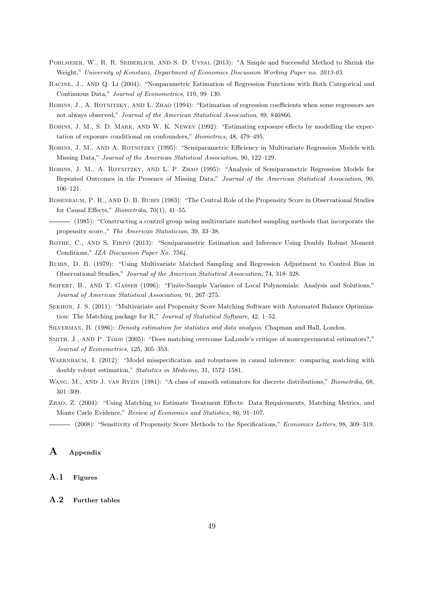- POHLMEIER, W., R. R. SEIBERLICH, AND S. D. UYSAL (2013): "A Simple and Successful Method to Shrink the Weight," University of Konstanz, Department of Economics Discussion Working Paper no. 2013-05.
- Racine, J., and Q. Li (2004): "Nonparametric Estimation of Regression Functions with Both Categorical and Continuous Data," Journal of Econometrics, 119, 99–130.
- Robins, J., A. Rotnitzky, and L. Zhao (1994): "Estimation of regression coefficients when some regressors are not always observed," Journal of the American Statistical Association, 89, 846866.
- Robins, J. M., S. D. Mark, and W. K. Newey (1992): "Estimating exposure effects by modelling the expectation of exposure conditional on confounders," Biometrics, 48, 479–495.
- Robins, J. M., and A. Rotnitzky (1995): "Semiparametric Efficiency in Multivariate Regression Models with Missing Data," Journal of the American Statistical Association, 90, 122–129.
- Robins, J. M., A. Rotnitzky, and L. P. Zhao (1995): "Analysis of Semiparametric Regression Models for Repeated Outcomes in the Presence of Missing Data," Journal of the American Statistical Association, 90, 106–121.
- Rosenbaum, P. R., and D. B. Rubin (1983): "The Central Role of the Propensity Score in Observational Studies for Causal Effects," Biometrika, 70(1), 41–55.
- (1985): "Constructing a control group using multivariate matched sampling methods that incorporate the propensity score.," The American Statistician, 39, 33–38.
- ROTHE, C., AND S. FIRPO (2013): "Semiparametric Estimation and Inference Using Doubly Robust Moment Conditions," IZA Discussion Paper No. 7564.
- Rubin, D. B. (1979): "Using Multivariate Matched Sampling and Regression Adjustment to Control Bias in Observational Studies," Journal of the American Statistical Association, 74, 318–328.
- SEIFERT, B., AND T. GASSER (1996): "Finite-Sample Variance of Local Polynomials: Analysis and Solutions," Journal of American Statistical Association, 91, 267–275.
- Sekhon, J. S. (2011): "Multivariate and Propensity Score Matching Software with Automated Balance Optimization: The Matching package for R," Journal of Statistical Software, 42, 1–52.
- Silverman, B. (1986): Density estimation for statistics and data analysis. Chapman and Hall, London.
- SMITH, J., AND P. TODD (2005): "Does matching overcome LaLonde's critique of nonexperimental estimators?," Journal of Econometrics, 125, 305–353.
- WAERNBAUM, I. (2012): "Model misspecification and robustness in causal inference: comparing matching with doubly robust estimation," Statistics in Medicine, 31, 1572–1581.
- WANG, M., AND J. VAN RYZIN (1981): "A class of smooth estimators for discrete distributions," Biometrika, 68, 301–309.
- Zhao, Z. (2004): "Using Matching to Estimate Treatment Effects: Data Requirements, Matching Metrics, and Monte Carlo Evidence," Review of Economics and Statistics, 86, 91–107.
- (2008): "Sensitivity of Propensity Score Methods to the Specifications," Economics Letters, 98, 309–319.

## A Appendix

### <span id="page-51-0"></span>A.1 Figures

#### <span id="page-51-1"></span>A.2 Further tables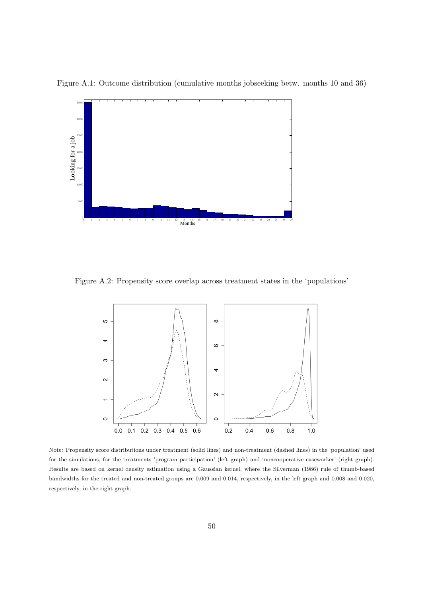

<span id="page-52-0"></span>Figure A.1: Outcome distribution (cumulative months jobseeking betw. months 10 and 36)

<span id="page-52-1"></span>Figure A.2: Propensity score overlap across treatment states in the 'populations'



Note: Propensity score distributions under treatment (solid lines) and non-treatment (dashed lines) in the 'population' used for the simulations, for the treatments 'program participation' (left graph) and 'noncooperative caseworker' (right graph). Results are based on kernel density estimation using a Gaussian kernel, where the Silverman (1986) rule of thumb-based bandwidths for the treated and non-treated groups are 0.009 and 0.014, respectively, in the left graph and 0.008 and 0.020, respectively, in the right graph.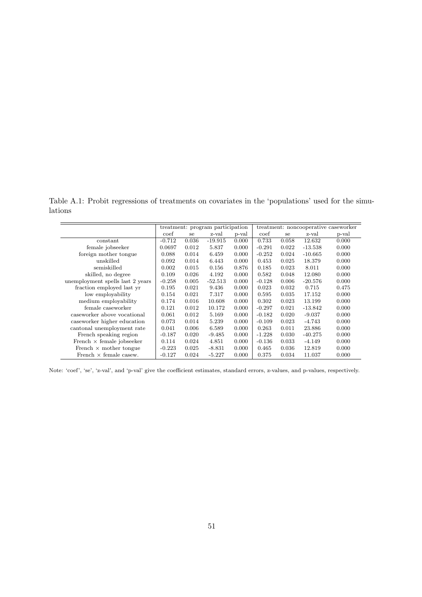<span id="page-53-0"></span>Table A.1: Probit regressions of treatments on covariates in the 'populations' used for the simulations

|                                  | treatment: program participation |       |           |       | treatment: noncooperative caseworker |       |           |       |  |
|----------------------------------|----------------------------------|-------|-----------|-------|--------------------------------------|-------|-----------|-------|--|
|                                  | coef                             | se    | z-val     | p-val | $\mathrm{coef}$                      | se    | z-val     | p-val |  |
| constant                         | $-0.712$                         | 0.036 | $-19.915$ | 0.000 | 0.733                                | 0.058 | 12.632    | 0.000 |  |
| female jobseeker                 | 0.0697                           | 0.012 | 5.837     | 0.000 | $-0.291$                             | 0.022 | $-13.538$ | 0.000 |  |
| foreign mother tongue            | 0.088                            | 0.014 | 6.459     | 0.000 | $-0.252$                             | 0.024 | $-10.665$ | 0.000 |  |
| unskilled                        | 0.092                            | 0.014 | 6.443     | 0.000 | 0.453                                | 0.025 | 18.379    | 0.000 |  |
| semiskilled                      | 0.002                            | 0.015 | 0.156     | 0.876 | 0.185                                | 0.023 | 8.011     | 0.000 |  |
| skilled, no degree               | 0.109                            | 0.026 | 4.192     | 0.000 | 0.582                                | 0.048 | 12.080    | 0.000 |  |
| unemployment spells last 2 years | $-0.258$                         | 0.005 | $-52.513$ | 0.000 | $-0.128$                             | 0.006 | $-20.576$ | 0.000 |  |
| fraction employed last yr        | 0.195                            | 0.021 | 9.436     | 0.000 | 0.023                                | 0.032 | 0.715     | 0.475 |  |
| low employability                | 0.154                            | 0.021 | 7.317     | 0.000 | 0.595                                | 0.035 | 17.152    | 0.000 |  |
| medium employability             | 0.174                            | 0.016 | 10.608    | 0.000 | 0.302                                | 0.023 | 13.199    | 0.000 |  |
| female caseworker                | 0.121                            | 0.012 | 10.172    | 0.000 | $-0.297$                             | 0.021 | $-13.842$ | 0.000 |  |
| caseworker above vocational      | 0.061                            | 0.012 | 5.169     | 0.000 | $-0.182$                             | 0.020 | $-9.037$  | 0.000 |  |
| caseworker higher education      | 0.073                            | 0.014 | 5.239     | 0.000 | $-0.109$                             | 0.023 | $-4.743$  | 0.000 |  |
| cantonal unemployment rate       | 0.041                            | 0.006 | 6.589     | 0.000 | 0.263                                | 0.011 | 23.886    | 0.000 |  |
| French speaking region           | $-0.187$                         | 0.020 | $-9.485$  | 0.000 | $-1.228$                             | 0.030 | $-40.275$ | 0.000 |  |
| French $\times$ female jobseeker | 0.114                            | 0.024 | 4.851     | 0.000 | $-0.136$                             | 0.033 | $-4.149$  | 0.000 |  |
| French $\times$ mother tongue    | $-0.223$                         | 0.025 | $-8.831$  | 0.000 | 0.465                                | 0.036 | 12.819    | 0.000 |  |
| French $\times$ female casew.    | $-0.127$                         | 0.024 | $-5.227$  | 0.000 | 0.375                                | 0.034 | 11.037    | 0.000 |  |

Note: 'coef', 'se', 'z-val', and 'p-val' give the coefficient estimates, standard errors, z-values, and p-values, respectively.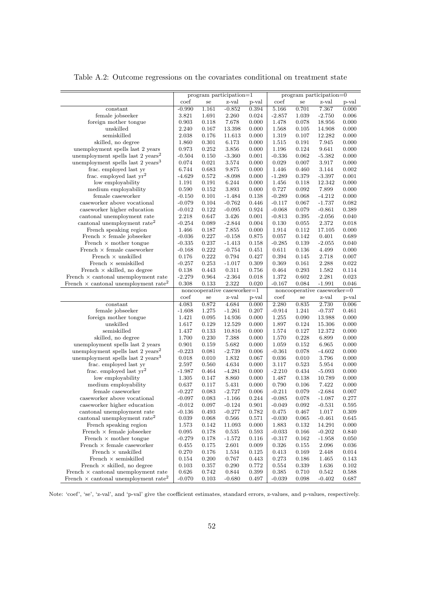Table A.2: Outcome regressions on the covariates conditional on treatment state

<span id="page-54-0"></span>

|                                                         | program participation=1<br>z-val<br>coef |            |                             | program participation=0 |          |            |                             |       |
|---------------------------------------------------------|------------------------------------------|------------|-----------------------------|-------------------------|----------|------------|-----------------------------|-------|
|                                                         |                                          | ${\rm se}$ |                             | p-val                   | coef     | ${\rm se}$ | z-val                       | p-val |
| constant                                                | $-0.990$                                 | 1.161      | $-0.852$                    | 0.394                   | 5.166    | 0.701      | 7.367                       | 0.000 |
| female jobseeker                                        | 3.821                                    | 1.691      | 2.260                       | 0.024                   | $-2.857$ | 1.039      | $-2.750$                    | 0.006 |
| foreign mother tongue                                   | 0.903                                    | 0.118      | 7.678                       | 0.000                   | 1.478    | 0.078      | 18.956                      | 0.000 |
| unskilled                                               | 2.240                                    | 0.167      | 13.398                      | 0.000                   | 1.568    | 0.105      | 14.908                      | 0.000 |
| semiskilled                                             | 2.038                                    | 0.176      | 11.613                      | 0.000                   | 1.319    | 0.107      | 12.282                      | 0.000 |
| skilled, no degree                                      | 1.860                                    | 0.301      | 6.173                       | 0.000                   | 1.515    | 0.191      | 7.945                       | 0.000 |
| unemployment spells last 2 years                        | 0.973                                    | 0.252      | 3.856                       | 0.000                   | 1.196    | 0.124      | 9.641                       | 0.000 |
| unemployment spells last 2 years <sup>2</sup>           | $-0.504$                                 | 0.150      | $-3.360$                    | 0.001                   | $-0.336$ | 0.062      | $-5.382$                    | 0.000 |
| unemployment spells last 2 years <sup>3</sup>           | 0.074                                    | 0.021      | 3.574                       | 0.000                   | 0.029    | 0.007      | 3.917                       | 0.000 |
| frac. employed last yr                                  | 6.744                                    | 0.683      | 9.875                       | 0.000                   | 1.446    | 0.460      | 3.144                       | 0.002 |
| frac. employed last $yr^2$                              | $-4.629$                                 | 0.572      | $-8.098$                    | 0.000                   | $-1.289$ | 0.379      | $-3.397$                    | 0.001 |
| low employability                                       | 1.191                                    | 0.191      | 6.244                       | 0.000                   | 1.456    | 0.118      | 12.342                      | 0.000 |
| medium employability                                    | 0.590                                    | 0.152      | 3.893                       | 0.000                   | 0.727    | 0.092      | 7.899                       | 0.000 |
| female caseworker                                       | $-0.150$                                 | 0.101      | $-1.484$                    | 0.138                   | $-0.289$ | 0.068      | $-4.212$                    | 0.000 |
| caseworker above vocational                             | $-0.079$                                 | 0.104      | $-0.762$                    | 0.446                   | $-0.117$ | 0.067      | -1.737                      | 0.082 |
| caseworker higher education                             | $-0.012$                                 | 0.122      | $-0.095$                    | 0.924                   | $-0.068$ | 0.079      | $-0.861$                    | 0.389 |
| cantonal unemployment rate                              | 2.218                                    | 0.647      | 3.426                       | 0.001                   | $-0.813$ | 0.395      | $-2.056$                    | 0.040 |
| cantonal unemployment rate <sup>2</sup>                 | $-0.254$                                 | 0.089      | $-2.844$                    | 0.004                   | 0.130    | 0.055      | 2.372                       | 0.018 |
| French speaking region                                  | 1.466                                    | 0.187      | 7.855                       | 0.000                   | 1.914    | 0.112      | 17.105                      | 0.000 |
| French $\times$ female jobseeker                        | $-0.036$                                 | 0.227      | $-0.158$                    | 0.875                   | 0.057    | 0.142      | 0.401                       | 0.689 |
| French $\times$ mother tongue                           | $-0.335$                                 | 0.237      | $-1.413$                    | 0.158                   | $-0.285$ | 0.139      | $-2.055$                    | 0.040 |
| French $\times$ female caseworker                       | $-0.168$                                 | 0.222      | $-0.754$                    | 0.451                   | 0.611    | 0.136      | 4.499                       | 0.000 |
| French $\times$ unskilled                               | 0.176                                    | 0.222      | 0.794                       | 0.427                   | 0.394    | 0.145      | 2.718                       | 0.007 |
| French $\times$ semiskilled                             | $-0.257$                                 | 0.253      | $-1.017$                    | 0.309                   | 0.369    | 0.161      | 2.288                       | 0.022 |
| French $\times$ skilled, no degree                      | 0.138                                    | 0.443      | 0.311                       | 0.756                   | 0.464    | 0.293      | 1.582                       | 0.114 |
| French $\times$ cantonal unemployment rate              | $-2.279$                                 | 0.964      | $-2.364$                    | 0.018                   | 1.372    | 0.602      | 2.281                       | 0.023 |
| French $\times$ cantonal unemployment rate <sup>2</sup> | 0.308                                    | 0.133      | 2.322                       | 0.020                   | $-0.167$ | 0.084      | $-1.991$                    | 0.046 |
|                                                         |                                          |            | noncooperative caseworker=1 |                         |          |            | noncooperative caseworker=0 |       |
|                                                         | coef                                     | se         | z-val                       | p-val                   | coef     | se         | z-val                       | p-val |
| constant                                                | 4.083                                    | 0.872      | 4.684                       | 0.000                   | 2.280    | 0.835      | 2.730                       | 0.006 |
| female jobseeker                                        | $-1.608$                                 | 1.275      | $-1.261$                    | 0.207                   | $-0.914$ | 1.241      | $-0.737$                    | 0.461 |
| foreign mother tongue                                   | 1.421                                    | 0.095      | 14.936                      | 0.000                   | 1.255    | 0.090      | 13.988                      | 0.000 |
| unskilled                                               | 1.617                                    | 0.129      | 12.529                      | 0.000                   | 1.897    | 0.124      | 15.306                      | 0.000 |
| semiskilled                                             | 1.437                                    | 0.133      | 10.816                      | 0.000                   | 1.574    | 0.127      | 12.372                      | 0.000 |
| skilled, no degree                                      | 1.700                                    | 0.230      | 7.388                       | 0.000                   | 1.570    | 0.228      | 6.899                       | 0.000 |
| unemployment spells last 2 years                        | 0.901                                    | 0.159      | 5.682                       | 0.000                   | 1.059    | 0.152      | 6.965                       | 0.000 |
| unemployment spells last 2 years <sup>2</sup>           | $-0.223$                                 | 0.081      | $-2.739$                    | 0.006                   | $-0.361$ | 0.078      | $-4.602$                    | 0.000 |
| unemployment spells last 2 years <sup>3</sup>           | 0.018                                    | 0.010      | 1.832                       | 0.067                   | 0.036    | 0.010      | 3.796                       | 0.000 |
| frac. employed last yr                                  | 2.597                                    | 0.560      | 4.634                       | 0.000                   | 3.117    | 0.523      | 5.954                       | 0.000 |
| frac. employed last $yr^2$                              | $-1.987$                                 | 0.464      | $-4.281$                    | 0.000                   | $-2.210$ | 0.434      | $-5.093$                    | 0.000 |
| low employability                                       | 1.305                                    | 0.147      | 8.860                       | 0.000                   | 1.487    | 0.138      | 10.789                      | 0.000 |
| medium employability                                    | 0.637                                    | 0.117      | $5.431\,$                   | 0.000                   | 0.790    | 0.106      | 7.422                       | 0.000 |
| female caseworker                                       | $-0.227$                                 | 0.083      | $-2.727$                    | 0.006                   | $-0.211$ | 0.079      | $-2.684$                    | 0.007 |
| caseworker above vocational                             | $-0.097$                                 | 0.083      | $-1.166$                    | 0.244                   | $-0.085$ | 0.078      | $-1.087$                    | 0.277 |
| caseworker higher education                             | $-0.012$                                 | 0.097      | $-0.124$                    | $\rm 0.901$             | $-0.049$ | 0.092      | $-0.531$                    | 0.595 |
| cantonal unemployment rate                              | -0.136                                   | 0.493      | $-0.277$                    | 0.782                   | 0.475    | 0.467      | 1.017                       | 0.309 |
| cantonal unemployment rate <sup>2</sup>                 | 0.039                                    | 0.068      | 0.566                       | 0.571                   | $-0.030$ | 0.065      | $-0.461$                    | 0.645 |
| French speaking region                                  | 1.573                                    | 0.142      | 11.093                      | 0.000                   | 1.883    | 0.132      | 14.291                      | 0.000 |
| French $\times$ female jobseeker                        | 0.095                                    | 0.178      | 0.535                       | 0.593                   | $-0.033$ | 0.166      | $-0.202$                    | 0.840 |
| French $\times$ mother tongue                           | $-0.279$                                 | 0.178      | $-1.572$                    | 0.116                   | $-0.317$ | 0.162      | $-1.958$                    | 0.050 |
| French $\times$ female caseworker                       | 0.455                                    | 0.175      | 2.601                       | 0.009                   | 0.326    | 0.155      | 2.096                       | 0.036 |
| French $\times$ unskilled                               | 0.270                                    | 0.176      | 1.534                       | 0.125                   | 0.413    | 0.169      | 2.448                       | 0.014 |
| French $\times$ semiskilled                             | 0.154                                    | 0.200      | 0.767                       | 0.443                   | 0.273    | 0.186      | 1.465                       | 0.143 |
| French $\times$ skilled, no degree                      | 0.103                                    | 0.357      | 0.290                       | 0.772                   | 0.554    | 0.339      | 1.636                       | 0.102 |
| French $\times$ cantonal unemployment rate              | 0.626                                    | 0.742      | 0.844                       | 0.399                   | 0.385    | 0.710      | 0.542                       | 0.588 |
| French $\times$ cantonal unemployment rate <sup>2</sup> | $-0.070$                                 | 0.103      | $-0.680$                    | 0.497                   | $-0.039$ | 0.098      | -0.402                      | 0.687 |
|                                                         |                                          |            |                             |                         |          |            |                             |       |

Note: 'coef', 'se', 'z-val', and 'p-val' give the coefficient estimates, standard errors, z-values, and p-values, respectively.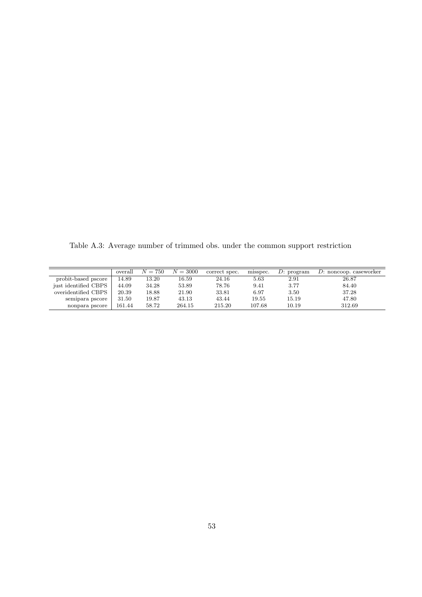<span id="page-55-0"></span>Table A.3: Average number of trimmed obs. under the common support restriction

|                      | overall | $N = 750$ | $N = 3000$ | correct spec. | misspec. | D: program | $D:$ noncoop. caseworker |
|----------------------|---------|-----------|------------|---------------|----------|------------|--------------------------|
| probit-based pscore  | 14.89   | 13.20     | 16.59      | 24.16         | 5.63     | 2.91       | 26.87                    |
| just identified CBPS | 44.09   | 34.28     | 53.89      | 78.76         | 9.41     | 3.77       | 84.40                    |
| overidentified CBPS  | 20.39   | 18.88     | 21.90      | 33.81         | 6.97     | 3.50       | 37.28                    |
| semipara pscore      | 31.50   | 19.87     | 43.13      | 43.44         | 19.55    | 15.19      | 47.80                    |
| nonpara pscore       | 161.44  | 58.72     | 264.15     | 215.20        | 107.68   | 10.19      | 312.69                   |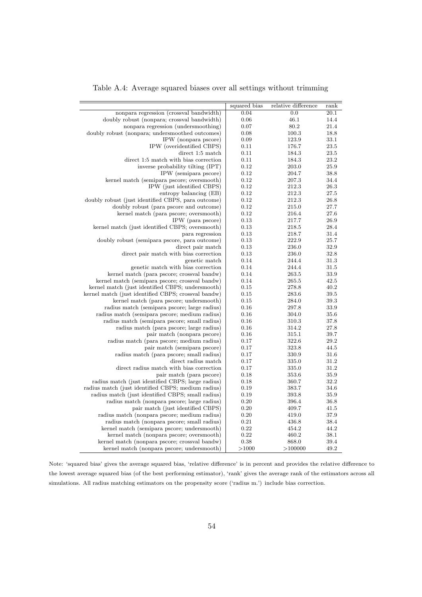<span id="page-56-0"></span>

|                                                     | squared bias | relative difference | rank |
|-----------------------------------------------------|--------------|---------------------|------|
| nonpara regression (crossval bandwidth)             | 0.04         | 0.0                 | 20.1 |
| doubly robust (nonpara; crossval bandwidth)         | 0.06         | 46.1                | 14.4 |
| nonpara regression (undersmoothing)                 | 0.07         | 80.2                | 21.4 |
| doubly robust (nonpara; undersmoothed outcomes)     | 0.08         | 100.3               | 18.8 |
| IPW (nonpara pscore)                                | 0.09         | 123.9               | 33.1 |
| IPW (overidentified CBPS)                           | 0.11         | 176.7               | 23.5 |
| direct 1:5 match                                    | 0.11         | 184.3               | 23.5 |
| direct 1:5 match with bias correction               | 0.11         | 184.3               | 23.2 |
| inverse probability tilting (IPT)                   | 0.12         | 203.0               | 25.9 |
| IPW (semipara pscore)                               | 0.12         | 204.7               | 38.8 |
| kernel match (semipara pscore; oversmooth)          | 0.12         | 207.3               | 34.4 |
| IPW (just identified CBPS)                          | 0.12         | 212.3               | 26.3 |
| entropy balancing (EB)                              | 0.12         | 212.3               | 27.5 |
| doubly robust (just identified CBPS, para outcome)  | 0.12         | 212.3               | 26.8 |
| doubly robust (para pscore and outcome)             | 0.12         | 215.0               | 27.7 |
| kernel match (para pscore; oversmooth)              | 0.12         | 216.4               | 27.6 |
| IPW (para pscore)                                   | 0.13         | 217.7               | 26.9 |
| kernel match (just identified CBPS; oversmooth)     | 0.13         | 218.5               | 28.4 |
| para regression                                     | 0.13         | 218.7               | 31.4 |
| doubly robust (semipara pscore, para outcome)       | 0.13         | 222.9               | 25.7 |
| direct pair match                                   | 0.13         | 236.0               | 32.9 |
| direct pair match with bias correction              | 0.13         | 236.0               | 32.8 |
| genetic match                                       | 0.14         | 244.4               | 31.3 |
| genetic match with bias correction                  | 0.14         | 244.4               | 31.5 |
| kernel match (para pscore; crossval bandw)          | 0.14         | 263.5               | 33.9 |
| kernel match (semipara pscore; crossval bandw)      | 0.14         | 265.5               | 42.5 |
| kernel match (just identified CBPS; undersmooth)    | 0.15         | 278.8               | 40.2 |
| kernel match (just identified CBPS; crossval bandw) | 0.15         | 283.6               | 39.5 |
| kernel match (para pscore; undersmooth)             | 0.15         | 284.0               | 39.3 |
| radius match (semipara pscore; large radius)        | 0.16         | 297.8               | 33.9 |
| radius match (semipara pscore; medium radius)       | 0.16         | 304.0               | 35.6 |
| radius match (semipara pscore; small radius)        | 0.16         | 310.3               | 37.8 |
| radius match (para pscore; large radius)            | 0.16         | 314.2               | 27.8 |
| pair match (nonpara pscore)                         | 0.16         | 315.1               | 39.7 |
| radius match (para pscore; medium radius)           | 0.17         | 322.6               | 29.2 |
| pair match (semipara pscore)                        | 0.17         | 323.8               | 44.5 |
| radius match (para pscore; small radius)            | 0.17         | 330.9               | 31.6 |
| direct radius match                                 | 0.17         | 335.0               | 31.2 |
| direct radius match with bias correction            | 0.17         | 335.0               | 31.2 |
| pair match (para pscore)                            | 0.18         | 353.6               | 35.9 |
| radius match (just identified CBPS; large radius)   | 0.18         | 360.7               | 32.2 |
| radius match (just identified CBPS; medium radius)  | 0.19         | 383.7               | 34.6 |
| radius match (just identified CBPS; small radius)   | 0.19         | 393.8               | 35.9 |
| radius match (nonpara pscore; large radius)         | 0.20         | 396.4               | 36.8 |
| pair match (just identified CBPS)                   | 0.20         | 409.7               | 41.5 |
| radius match (nonpara pscore; medium radius)        | 0.20         | 419.0               | 37.9 |
| radius match (nonpara pscore; small radius)         | 0.21         | 436.8               | 38.4 |
| kernel match (semipara pscore; undersmooth)         | 0.22         | 454.2               | 44.2 |
| kernel match (nonpara pscore; oversmooth)           | 0.22         | 460.2               | 38.1 |
| kernel match (nonpara pscore; crossval bandw)       | 0.38         | 868.0               | 39.4 |
| kernel match (nonpara pscore; undersmooth)          | >1000        | >100000             | 49.2 |

Note: 'squared bias' gives the average squared bias, 'relative difference' is in percent and provides the relative difference to the lowest average squared bias (of the best performing estimator), 'rank' gives the average rank of the estimators across all simulations. All radius matching estimators on the propensity score ('radius m.') include bias correction.